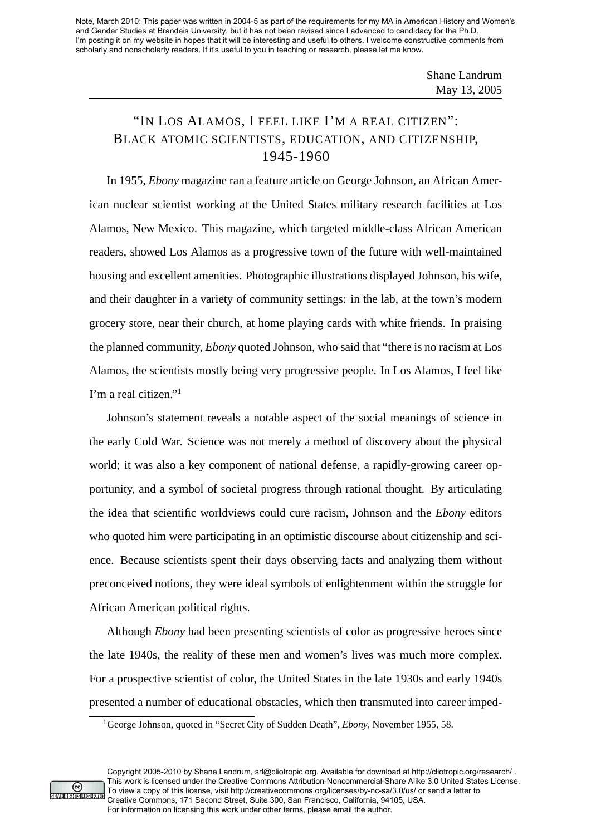Note, March 2010: This paper was written in 2004-5 as part of the requirements for my MA in American History and Women's and Gender Studies at Brandeis University, but it has not been revised since I advanced to candidacy for the Ph.D. I'm posting it on my website in hopes that it will be interesting and useful to others. I welcome constructive comments from scholarly and nonscholarly readers. If it's useful to you in teaching or research, please let me know.

## "IN LOS ALAMOS, I FEEL LIKE I'M A REAL CITIZEN": BLACK ATOMIC SCIENTISTS, EDUCATION, AND CITIZENSHIP, 1945-1960

In 1955, *Ebony* magazine ran a feature article on George Johnson, an African American nuclear scientist working at the United States military research facilities at Los Alamos, New Mexico. This magazine, which targeted middle-class African American readers, showed Los Alamos as a progressive town of the future with well-maintained housing and excellent amenities. Photographic illustrations displayed Johnson, his wife, and their daughter in a variety of community settings: in the lab, at the town's modern grocery store, near their church, at home playing cards with white friends. In praising the planned community, *Ebony* quoted Johnson, who said that "there is no racism at Los Alamos, the scientists mostly being very progressive people. In Los Alamos, I feel like I'm a real citizen."<sup>1</sup>

Johnson's statement reveals a notable aspect of the social meanings of science in the early Cold War. Science was not merely a method of discovery about the physical world; it was also a key component of national defense, a rapidly-growing career opportunity, and a symbol of societal progress through rational thought. By articulating the idea that scientific worldviews could cure racism, Johnson and the *Ebony* editors who quoted him were participating in an optimistic discourse about citizenship and science. Because scientists spent their days observing facts and analyzing them without preconceived notions, they were ideal symbols of enlightenment within the struggle for African American political rights.

Although *Ebony* had been presenting scientists of color as progressive heroes since the late 1940s, the reality of these men and women's lives was much more complex. For a prospective scientist of color, the United States in the late 1930s and early 1940s presented a number of educational obstacles, which then transmuted into career imped-



<sup>1</sup>George Johnson, quoted in "Secret City of Sudden Death", *Ebony*, November 1955, 58.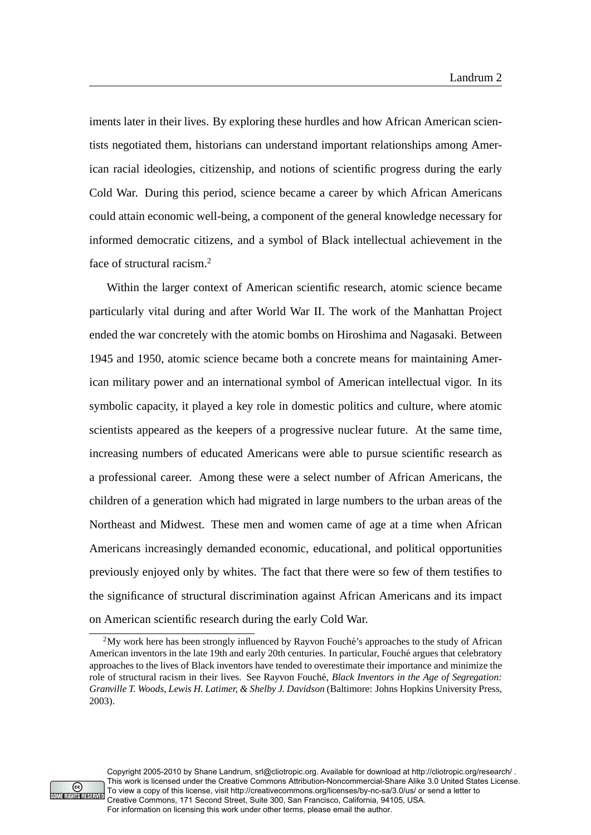iments later in their lives. By exploring these hurdles and how African American scientists negotiated them, historians can understand important relationships among American racial ideologies, citizenship, and notions of scientific progress during the early Cold War. During this period, science became a career by which African Americans could attain economic well-being, a component of the general knowledge necessary for informed democratic citizens, and a symbol of Black intellectual achievement in the face of structural racism.<sup>2</sup>

Within the larger context of American scientific research, atomic science became particularly vital during and after World War II. The work of the Manhattan Project ended the war concretely with the atomic bombs on Hiroshima and Nagasaki. Between 1945 and 1950, atomic science became both a concrete means for maintaining American military power and an international symbol of American intellectual vigor. In its symbolic capacity, it played a key role in domestic politics and culture, where atomic scientists appeared as the keepers of a progressive nuclear future. At the same time, increasing numbers of educated Americans were able to pursue scientific research as a professional career. Among these were a select number of African Americans, the children of a generation which had migrated in large numbers to the urban areas of the Northeast and Midwest. These men and women came of age at a time when African Americans increasingly demanded economic, educational, and political opportunities previously enjoyed only by whites. The fact that there were so few of them testifies to the significance of structural discrimination against African Americans and its impact on American scientific research during the early Cold War.



Copyright 2005-2010 by Shane Landrum, srl@cliotropic.org. Available for download at http://cliotropic.org/research/ . This work is licensed under the Creative Commons Attribution-Noncommercial-Share Alike 3.0 United States License. To view a copy of this license, visit http://creativecommons.org/licenses/by-nc-sa/3.0/us/ or send a letter to Creative Commons, 171 Second Street, Suite 300, San Francisco, California, 94105, USA. For information on licensing this work under other terms, please email the author.

<sup>&</sup>lt;sup>2</sup>My work here has been strongly influenced by Rayvon Fouche's approaches to the study of African American inventors in the late 19th and early 20th centuries. In particular, Fouche argues that celebratory ´ approaches to the lives of Black inventors have tended to overestimate their importance and minimize the role of structural racism in their lives. See Rayvon Fouché, *Black Inventors in the Age of Segregation*: *Granville T. Woods, Lewis H. Latimer, & Shelby J. Davidson* (Baltimore: Johns Hopkins University Press, 2003).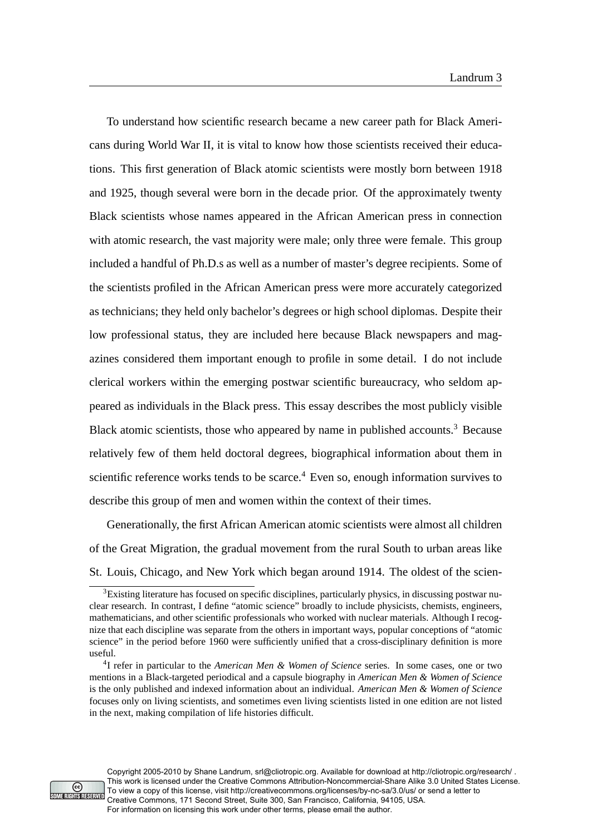To understand how scientific research became a new career path for Black Americans during World War II, it is vital to know how those scientists received their educations. This first generation of Black atomic scientists were mostly born between 1918 and 1925, though several were born in the decade prior. Of the approximately twenty Black scientists whose names appeared in the African American press in connection with atomic research, the vast majority were male; only three were female. This group included a handful of Ph.D.s as well as a number of master's degree recipients. Some of the scientists profiled in the African American press were more accurately categorized as technicians; they held only bachelor's degrees or high school diplomas. Despite their low professional status, they are included here because Black newspapers and magazines considered them important enough to profile in some detail. I do not include clerical workers within the emerging postwar scientific bureaucracy, who seldom appeared as individuals in the Black press. This essay describes the most publicly visible Black atomic scientists, those who appeared by name in published accounts.<sup>3</sup> Because relatively few of them held doctoral degrees, biographical information about them in scientific reference works tends to be scarce.<sup>4</sup> Even so, enough information survives to describe this group of men and women within the context of their times.

Generationally, the first African American atomic scientists were almost all children of the Great Migration, the gradual movement from the rural South to urban areas like St. Louis, Chicago, and New York which began around 1914. The oldest of the scien-



<sup>&</sup>lt;sup>3</sup>Existing literature has focused on specific disciplines, particularly physics, in discussing postwar nuclear research. In contrast, I define "atomic science" broadly to include physicists, chemists, engineers, mathematicians, and other scientific professionals who worked with nuclear materials. Although I recognize that each discipline was separate from the others in important ways, popular conceptions of "atomic science" in the period before 1960 were sufficiently unified that a cross-disciplinary definition is more useful.

<sup>4</sup> I refer in particular to the *American Men & Women of Science* series. In some cases, one or two mentions in a Black-targeted periodical and a capsule biography in *American Men & Women of Science* is the only published and indexed information about an individual. *American Men & Women of Science* focuses only on living scientists, and sometimes even living scientists listed in one edition are not listed in the next, making compilation of life histories difficult.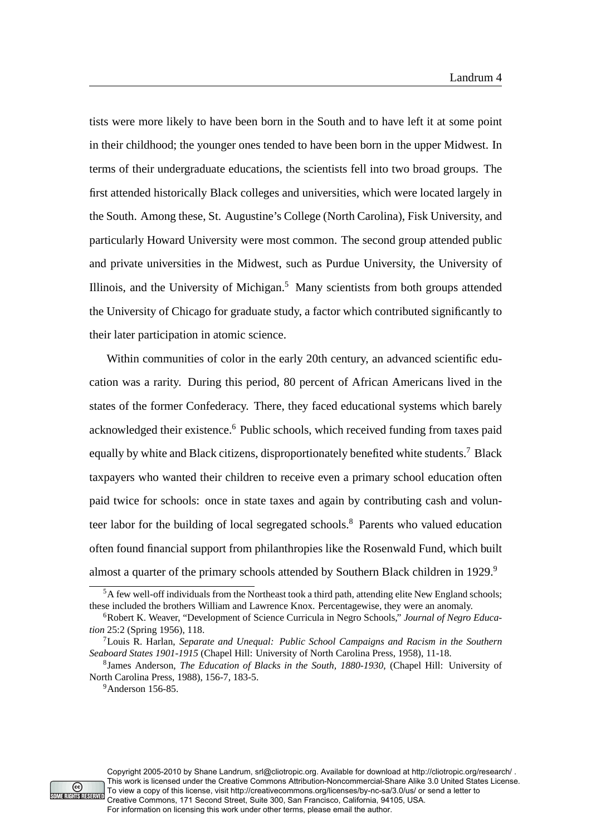tists were more likely to have been born in the South and to have left it at some point in their childhood; the younger ones tended to have been born in the upper Midwest. In terms of their undergraduate educations, the scientists fell into two broad groups. The first attended historically Black colleges and universities, which were located largely in the South. Among these, St. Augustine's College (North Carolina), Fisk University, and particularly Howard University were most common. The second group attended public and private universities in the Midwest, such as Purdue University, the University of Illinois, and the University of Michigan.<sup>5</sup> Many scientists from both groups attended the University of Chicago for graduate study, a factor which contributed significantly to their later participation in atomic science.

Within communities of color in the early 20th century, an advanced scientific education was a rarity. During this period, 80 percent of African Americans lived in the states of the former Confederacy. There, they faced educational systems which barely acknowledged their existence.<sup>6</sup> Public schools, which received funding from taxes paid equally by white and Black citizens, disproportionately benefited white students.<sup>7</sup> Black taxpayers who wanted their children to receive even a primary school education often paid twice for schools: once in state taxes and again by contributing cash and volunteer labor for the building of local segregated schools.<sup>8</sup> Parents who valued education often found financial support from philanthropies like the Rosenwald Fund, which built almost a quarter of the primary schools attended by Southern Black children in 1929.<sup>9</sup>



<sup>&</sup>lt;sup>5</sup>A few well-off individuals from the Northeast took a third path, attending elite New England schools; these included the brothers William and Lawrence Knox. Percentagewise, they were an anomaly.

<sup>6</sup>Robert K. Weaver, "Development of Science Curricula in Negro Schools," *Journal of Negro Education* 25:2 (Spring 1956), 118.

<sup>7</sup>Louis R. Harlan, *Separate and Unequal: Public School Campaigns and Racism in the Southern Seaboard States 1901-1915* (Chapel Hill: University of North Carolina Press, 1958), 11-18.

<sup>8</sup> James Anderson, *The Education of Blacks in the South, 1880-1930*, (Chapel Hill: University of North Carolina Press, 1988), 156-7, 183-5.

<sup>9</sup>Anderson 156-85.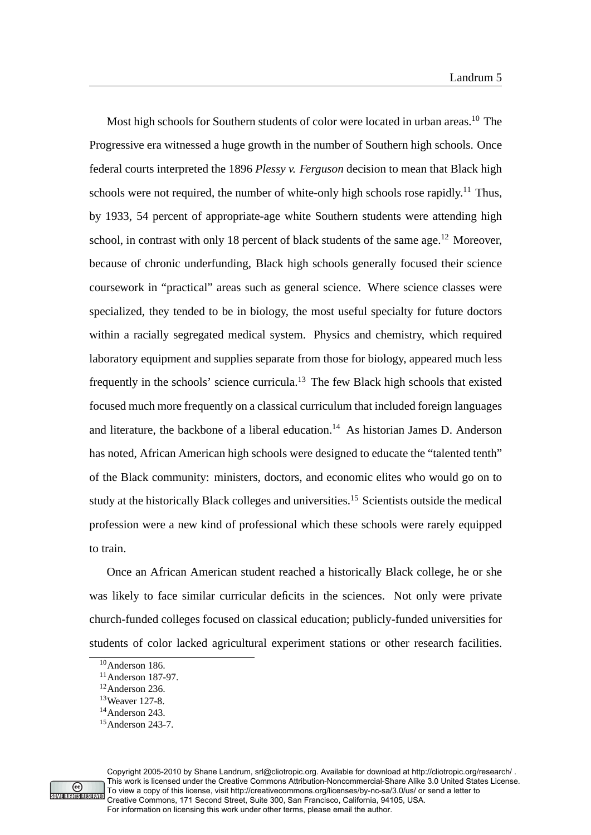Most high schools for Southern students of color were located in urban areas.<sup>10</sup> The Progressive era witnessed a huge growth in the number of Southern high schools. Once federal courts interpreted the 1896 *Plessy v. Ferguson* decision to mean that Black high schools were not required, the number of white-only high schools rose rapidly.<sup>11</sup> Thus, by 1933, 54 percent of appropriate-age white Southern students were attending high school, in contrast with only 18 percent of black students of the same age.<sup>12</sup> Moreover, because of chronic underfunding, Black high schools generally focused their science coursework in "practical" areas such as general science. Where science classes were specialized, they tended to be in biology, the most useful specialty for future doctors within a racially segregated medical system. Physics and chemistry, which required laboratory equipment and supplies separate from those for biology, appeared much less frequently in the schools' science curricula. $13$  The few Black high schools that existed focused much more frequently on a classical curriculum that included foreign languages and literature, the backbone of a liberal education.<sup>14</sup> As historian James D. Anderson has noted, African American high schools were designed to educate the "talented tenth" of the Black community: ministers, doctors, and economic elites who would go on to study at the historically Black colleges and universities.<sup>15</sup> Scientists outside the medical profession were a new kind of professional which these schools were rarely equipped to train.

Once an African American student reached a historically Black college, he or she was likely to face similar curricular deficits in the sciences. Not only were private church-funded colleges focused on classical education; publicly-funded universities for students of color lacked agricultural experiment stations or other research facilities.



<sup>&</sup>lt;sup>10</sup>Anderson 186.

<sup>11</sup>Anderson 187-97.

<sup>12</sup>Anderson 236.

<sup>13</sup>Weaver 127-8.

<sup>14</sup>Anderson 243.

 $15$ Anderson 243-7.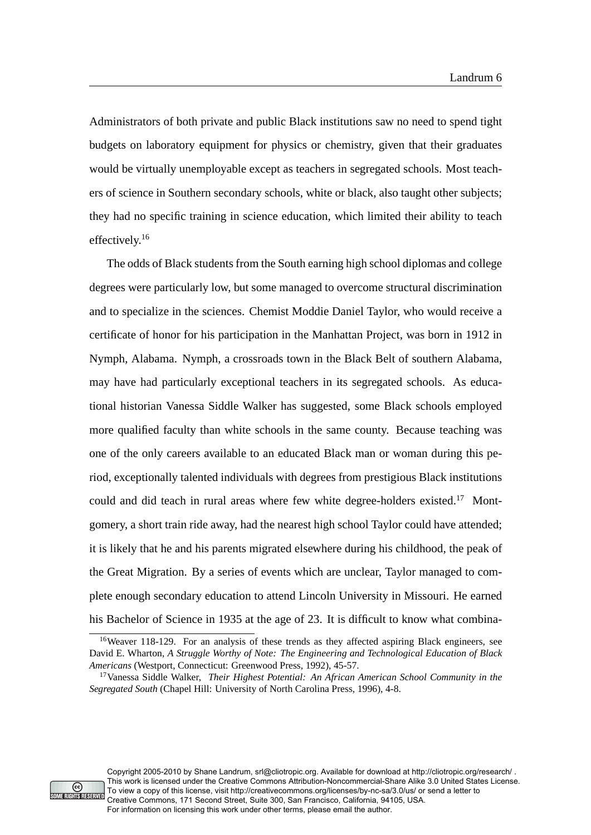Administrators of both private and public Black institutions saw no need to spend tight budgets on laboratory equipment for physics or chemistry, given that their graduates would be virtually unemployable except as teachers in segregated schools. Most teachers of science in Southern secondary schools, white or black, also taught other subjects; they had no specific training in science education, which limited their ability to teach effectively.<sup>16</sup>

The odds of Black students from the South earning high school diplomas and college degrees were particularly low, but some managed to overcome structural discrimination and to specialize in the sciences. Chemist Moddie Daniel Taylor, who would receive a certificate of honor for his participation in the Manhattan Project, was born in 1912 in Nymph, Alabama. Nymph, a crossroads town in the Black Belt of southern Alabama, may have had particularly exceptional teachers in its segregated schools. As educational historian Vanessa Siddle Walker has suggested, some Black schools employed more qualified faculty than white schools in the same county. Because teaching was one of the only careers available to an educated Black man or woman during this period, exceptionally talented individuals with degrees from prestigious Black institutions could and did teach in rural areas where few white degree-holders existed.<sup>17</sup> Montgomery, a short train ride away, had the nearest high school Taylor could have attended; it is likely that he and his parents migrated elsewhere during his childhood, the peak of the Great Migration. By a series of events which are unclear, Taylor managed to complete enough secondary education to attend Lincoln University in Missouri. He earned his Bachelor of Science in 1935 at the age of 23. It is difficult to know what combina-



Copyright 2005-2010 by Shane Landrum, srl@cliotropic.org. Available for download at http://cliotropic.org/research/ . This work is licensed under the Creative Commons Attribution-Noncommercial-Share Alike 3.0 United States License. To view a copy of this license, visit http://creativecommons.org/licenses/by-nc-sa/3.0/us/ or send a letter to Creative Commons, 171 Second Street, Suite 300, San Francisco, California, 94105, USA. For information on licensing this work under other terms, please email the author.

<sup>&</sup>lt;sup>16</sup>Weaver 118-129. For an analysis of these trends as they affected aspiring Black engineers, see David E. Wharton, *A Struggle Worthy of Note: The Engineering and Technological Education of Black Americans* (Westport, Connecticut: Greenwood Press, 1992), 45-57.

<sup>17</sup>Vanessa Siddle Walker, *Their Highest Potential: An African American School Community in the Segregated South* (Chapel Hill: University of North Carolina Press, 1996), 4-8.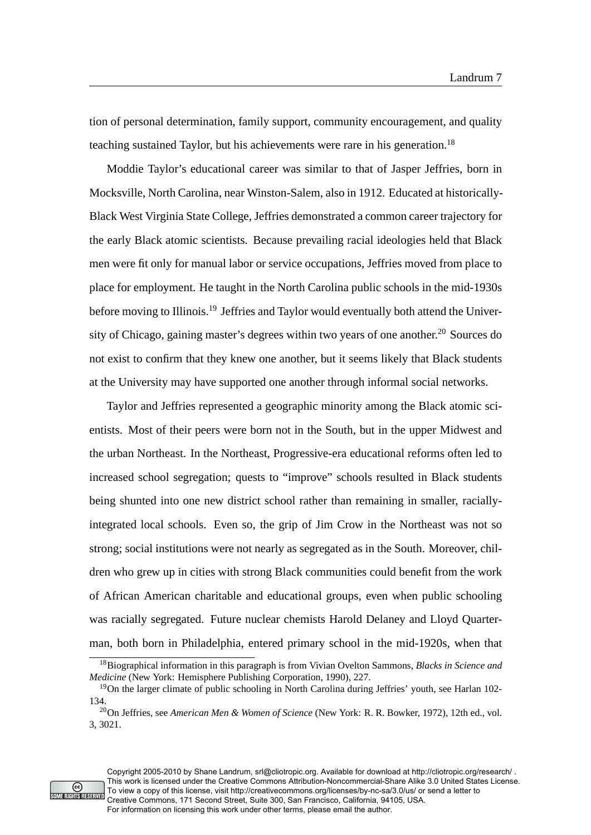tion of personal determination, family support, community encouragement, and quality teaching sustained Taylor, but his achievements were rare in his generation.<sup>18</sup>

Moddie Taylor's educational career was similar to that of Jasper Jeffries, born in Mocksville, North Carolina, near Winston-Salem, also in 1912. Educated at historically-Black West Virginia State College, Jeffries demonstrated a common career trajectory for the early Black atomic scientists. Because prevailing racial ideologies held that Black men were fit only for manual labor or service occupations, Jeffries moved from place to place for employment. He taught in the North Carolina public schools in the mid-1930s before moving to Illinois.<sup>19</sup> Jeffries and Taylor would eventually both attend the University of Chicago, gaining master's degrees within two years of one another.<sup>20</sup> Sources do not exist to confirm that they knew one another, but it seems likely that Black students at the University may have supported one another through informal social networks.

Taylor and Jeffries represented a geographic minority among the Black atomic scientists. Most of their peers were born not in the South, but in the upper Midwest and the urban Northeast. In the Northeast, Progressive-era educational reforms often led to increased school segregation; quests to "improve" schools resulted in Black students being shunted into one new district school rather than remaining in smaller, raciallyintegrated local schools. Even so, the grip of Jim Crow in the Northeast was not so strong; social institutions were not nearly as segregated as in the South. Moreover, children who grew up in cities with strong Black communities could benefit from the work of African American charitable and educational groups, even when public schooling was racially segregated. Future nuclear chemists Harold Delaney and Lloyd Quarterman, both born in Philadelphia, entered primary school in the mid-1920s, when that



<sup>18</sup>Biographical information in this paragraph is from Vivian Ovelton Sammons, *Blacks in Science and Medicine* (New York: Hemisphere Publishing Corporation, 1990), 227.

<sup>&</sup>lt;sup>19</sup>On the larger climate of public schooling in North Carolina during Jeffries' youth, see Harlan 102-134.

<sup>20</sup>On Jeffries, see *American Men & Women of Science* (New York: R. R. Bowker, 1972), 12th ed., vol. 3, 3021.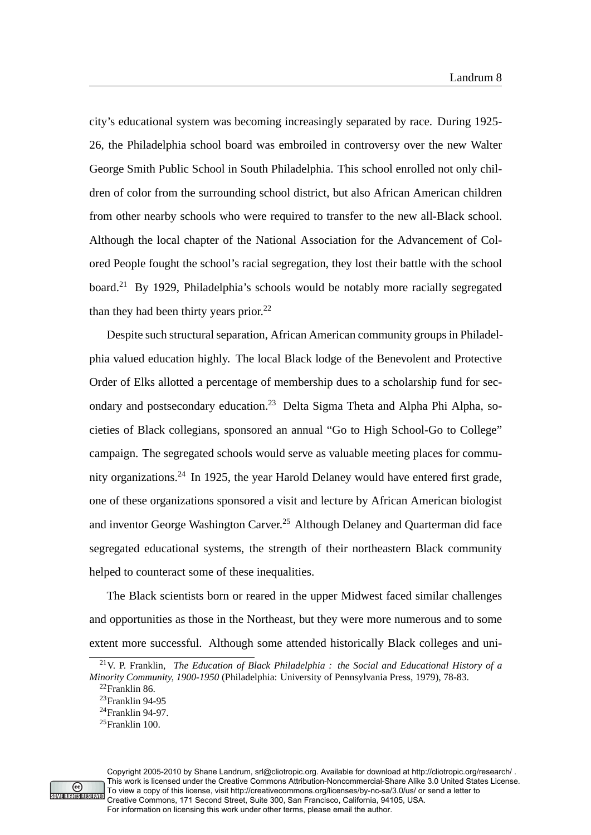city's educational system was becoming increasingly separated by race. During 1925- 26, the Philadelphia school board was embroiled in controversy over the new Walter George Smith Public School in South Philadelphia. This school enrolled not only children of color from the surrounding school district, but also African American children from other nearby schools who were required to transfer to the new all-Black school. Although the local chapter of the National Association for the Advancement of Colored People fought the school's racial segregation, they lost their battle with the school board.<sup>21</sup> By 1929, Philadelphia's schools would be notably more racially segregated than they had been thirty years prior. $^{22}$ 

Despite such structural separation, African American community groups in Philadelphia valued education highly. The local Black lodge of the Benevolent and Protective Order of Elks allotted a percentage of membership dues to a scholarship fund for secondary and postsecondary education.<sup>23</sup> Delta Sigma Theta and Alpha Phi Alpha, societies of Black collegians, sponsored an annual "Go to High School-Go to College" campaign. The segregated schools would serve as valuable meeting places for community organizations.<sup>24</sup> In 1925, the year Harold Delaney would have entered first grade, one of these organizations sponsored a visit and lecture by African American biologist and inventor George Washington Carver.<sup>25</sup> Although Delaney and Quarterman did face segregated educational systems, the strength of their northeastern Black community helped to counteract some of these inequalities.

The Black scientists born or reared in the upper Midwest faced similar challenges and opportunities as those in the Northeast, but they were more numerous and to some extent more successful. Although some attended historically Black colleges and uni-



<sup>21</sup>V. P. Franklin, *The Education of Black Philadelphia : the Social and Educational History of a Minority Community, 1900-1950* (Philadelphia: University of Pennsylvania Press, 1979), 78-83.

<sup>22</sup>Franklin 86.

<sup>23</sup>Franklin 94-95

<sup>24</sup>Franklin 94-97.

 $^{25}$ Franklin 100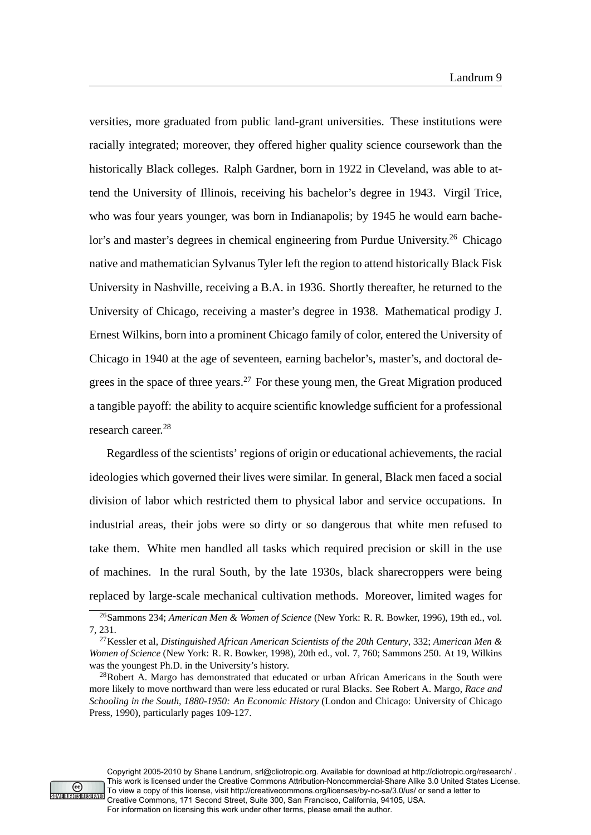versities, more graduated from public land-grant universities. These institutions were racially integrated; moreover, they offered higher quality science coursework than the historically Black colleges. Ralph Gardner, born in 1922 in Cleveland, was able to attend the University of Illinois, receiving his bachelor's degree in 1943. Virgil Trice, who was four years younger, was born in Indianapolis; by 1945 he would earn bachelor's and master's degrees in chemical engineering from Purdue University.<sup>26</sup> Chicago native and mathematician Sylvanus Tyler left the region to attend historically Black Fisk University in Nashville, receiving a B.A. in 1936. Shortly thereafter, he returned to the University of Chicago, receiving a master's degree in 1938. Mathematical prodigy J. Ernest Wilkins, born into a prominent Chicago family of color, entered the University of Chicago in 1940 at the age of seventeen, earning bachelor's, master's, and doctoral degrees in the space of three years. $27$  For these young men, the Great Migration produced a tangible payoff: the ability to acquire scientific knowledge sufficient for a professional research career.<sup>28</sup>

Regardless of the scientists' regions of origin or educational achievements, the racial ideologies which governed their lives were similar. In general, Black men faced a social division of labor which restricted them to physical labor and service occupations. In industrial areas, their jobs were so dirty or so dangerous that white men refused to take them. White men handled all tasks which required precision or skill in the use of machines. In the rural South, by the late 1930s, black sharecroppers were being replaced by large-scale mechanical cultivation methods. Moreover, limited wages for



<sup>26</sup>Sammons 234; *American Men & Women of Science* (New York: R. R. Bowker, 1996), 19th ed., vol. 7, 231.

<sup>27</sup>Kessler et al, *Distinguished African American Scientists of the 20th Century*, 332; *American Men & Women of Science* (New York: R. R. Bowker, 1998), 20th ed., vol. 7, 760; Sammons 250. At 19, Wilkins was the youngest Ph.D. in the University's history.

 $28Robert$  A. Margo has demonstrated that educated or urban African Americans in the South were more likely to move northward than were less educated or rural Blacks. See Robert A. Margo, *Race and Schooling in the South, 1880-1950: An Economic History* (London and Chicago: University of Chicago Press, 1990), particularly pages 109-127.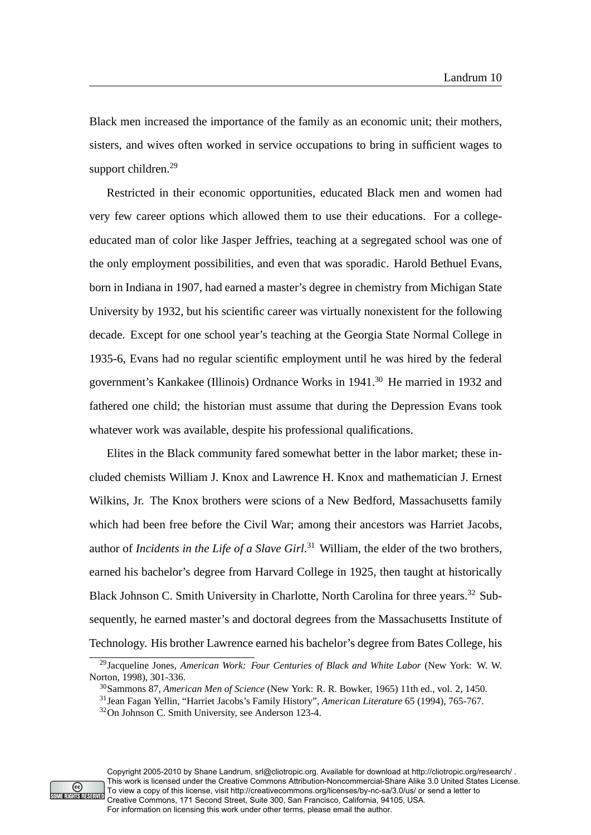Black men increased the importance of the family as an economic unit; their mothers, sisters, and wives often worked in service occupations to bring in sufficient wages to support children.<sup>29</sup>

Restricted in their economic opportunities, educated Black men and women had very few career options which allowed them to use their educations. For a collegeeducated man of color like Jasper Jeffries, teaching at a segregated school was one of the only employment possibilities, and even that was sporadic. Harold Bethuel Evans, born in Indiana in 1907, had earned a master's degree in chemistry from Michigan State University by 1932, but his scientific career was virtually nonexistent for the following decade. Except for one school year's teaching at the Georgia State Normal College in 1935-6, Evans had no regular scientific employment until he was hired by the federal government's Kankakee (Illinois) Ordnance Works in 1941.<sup>30</sup> He married in 1932 and fathered one child; the historian must assume that during the Depression Evans took whatever work was available, despite his professional qualifications.

Elites in the Black community fared somewhat better in the labor market; these included chemists William J. Knox and Lawrence H. Knox and mathematician J. Ernest Wilkins, Jr. The Knox brothers were scions of a New Bedford, Massachusetts family which had been free before the Civil War; among their ancestors was Harriet Jacobs, author of *Incidents in the Life of a Slave Girl*. <sup>31</sup> William, the elder of the two brothers, earned his bachelor's degree from Harvard College in 1925, then taught at historically Black Johnson C. Smith University in Charlotte, North Carolina for three years.<sup>32</sup> Subsequently, he earned master's and doctoral degrees from the Massachusetts Institute of Technology. His brother Lawrence earned his bachelor's degree from Bates College, his



<sup>29</sup>Jacqueline Jones, *American Work: Four Centuries of Black and White Labor* (New York: W. W. Norton, 1998), 301-336.

<sup>30</sup>Sammons 87, *American Men of Science* (New York: R. R. Bowker, 1965) 11th ed., vol. 2, 1450.

<sup>31</sup>Jean Fagan Yellin, "Harriet Jacobs's Family History", *American Literature* 65 (1994), 765-767. <sup>32</sup>On Johnson C. Smith University, see Anderson 123-4.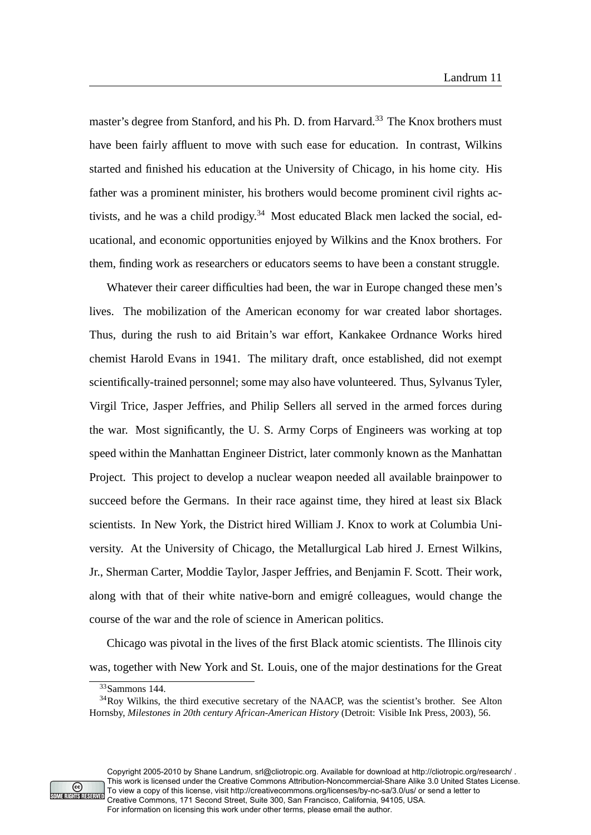master's degree from Stanford, and his Ph. D. from Harvard.<sup>33</sup> The Knox brothers must have been fairly affluent to move with such ease for education. In contrast, Wilkins started and finished his education at the University of Chicago, in his home city. His father was a prominent minister, his brothers would become prominent civil rights activists, and he was a child prodigy.<sup>34</sup> Most educated Black men lacked the social, educational, and economic opportunities enjoyed by Wilkins and the Knox brothers. For them, finding work as researchers or educators seems to have been a constant struggle.

Whatever their career difficulties had been, the war in Europe changed these men's lives. The mobilization of the American economy for war created labor shortages. Thus, during the rush to aid Britain's war effort, Kankakee Ordnance Works hired chemist Harold Evans in 1941. The military draft, once established, did not exempt scientifically-trained personnel; some may also have volunteered. Thus, Sylvanus Tyler, Virgil Trice, Jasper Jeffries, and Philip Sellers all served in the armed forces during the war. Most significantly, the U. S. Army Corps of Engineers was working at top speed within the Manhattan Engineer District, later commonly known as the Manhattan Project. This project to develop a nuclear weapon needed all available brainpower to succeed before the Germans. In their race against time, they hired at least six Black scientists. In New York, the District hired William J. Knox to work at Columbia University. At the University of Chicago, the Metallurgical Lab hired J. Ernest Wilkins, Jr., Sherman Carter, Moddie Taylor, Jasper Jeffries, and Benjamin F. Scott. Their work, along with that of their white native-born and emigré colleagues, would change the course of the war and the role of science in American politics.

Chicago was pivotal in the lives of the first Black atomic scientists. The Illinois city was, together with New York and St. Louis, one of the major destinations for the Great



<sup>33</sup>Sammons 144.

<sup>34</sup>Roy Wilkins, the third executive secretary of the NAACP, was the scientist's brother. See Alton Hornsby, *Milestones in 20th century African-American History* (Detroit: Visible Ink Press, 2003), 56.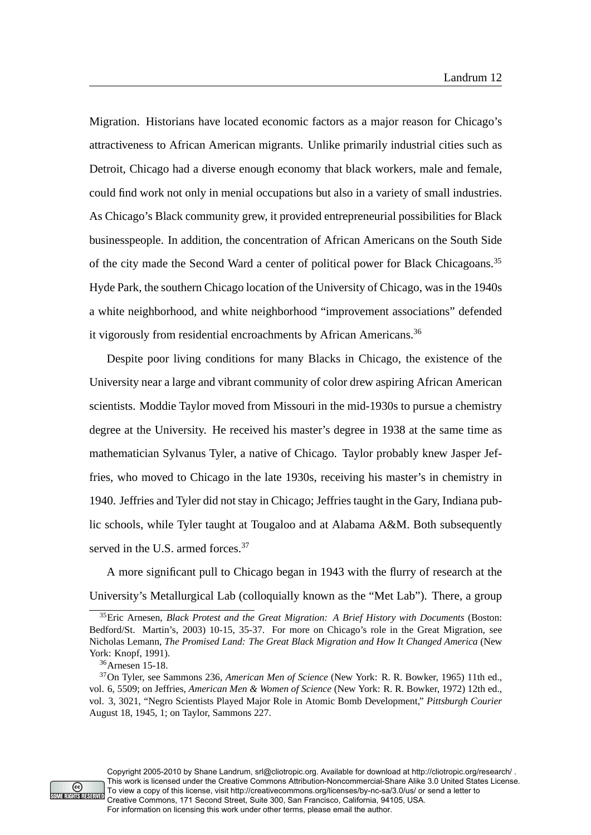Migration. Historians have located economic factors as a major reason for Chicago's attractiveness to African American migrants. Unlike primarily industrial cities such as Detroit, Chicago had a diverse enough economy that black workers, male and female, could find work not only in menial occupations but also in a variety of small industries. As Chicago's Black community grew, it provided entrepreneurial possibilities for Black businesspeople. In addition, the concentration of African Americans on the South Side of the city made the Second Ward a center of political power for Black Chicagoans.<sup>35</sup> Hyde Park, the southern Chicago location of the University of Chicago, was in the 1940s a white neighborhood, and white neighborhood "improvement associations" defended it vigorously from residential encroachments by African Americans.<sup>36</sup>

Despite poor living conditions for many Blacks in Chicago, the existence of the University near a large and vibrant community of color drew aspiring African American scientists. Moddie Taylor moved from Missouri in the mid-1930s to pursue a chemistry degree at the University. He received his master's degree in 1938 at the same time as mathematician Sylvanus Tyler, a native of Chicago. Taylor probably knew Jasper Jeffries, who moved to Chicago in the late 1930s, receiving his master's in chemistry in 1940. Jeffries and Tyler did not stay in Chicago; Jeffries taught in the Gary, Indiana public schools, while Tyler taught at Tougaloo and at Alabama A&M. Both subsequently served in the U.S. armed forces.<sup>37</sup>

A more significant pull to Chicago began in 1943 with the flurry of research at the University's Metallurgical Lab (colloquially known as the "Met Lab"). There, a group



<sup>35</sup>Eric Arnesen, *Black Protest and the Great Migration: A Brief History with Documents* (Boston: Bedford/St. Martin's, 2003) 10-15, 35-37. For more on Chicago's role in the Great Migration, see Nicholas Lemann, *The Promised Land: The Great Black Migration and How It Changed America* (New York: Knopf, 1991).

<sup>36</sup>Arnesen 15-18.

<sup>37</sup>On Tyler, see Sammons 236, *American Men of Science* (New York: R. R. Bowker, 1965) 11th ed., vol. 6, 5509; on Jeffries, *American Men & Women of Science* (New York: R. R. Bowker, 1972) 12th ed., vol. 3, 3021, "Negro Scientists Played Major Role in Atomic Bomb Development," *Pittsburgh Courier* August 18, 1945, 1; on Taylor, Sammons 227.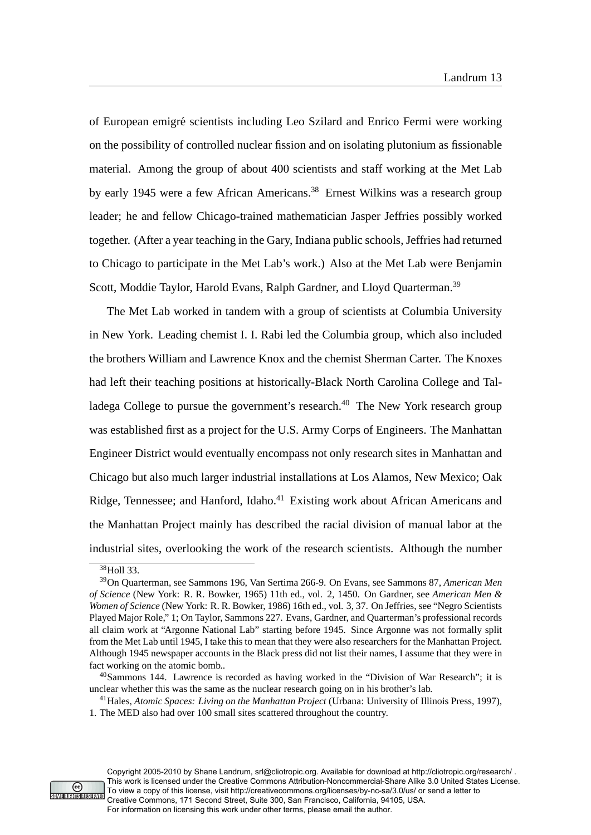of European emigré scientists including Leo Szilard and Enrico Fermi were working on the possibility of controlled nuclear fission and on isolating plutonium as fissionable material. Among the group of about 400 scientists and staff working at the Met Lab by early 1945 were a few African Americans.<sup>38</sup> Ernest Wilkins was a research group leader; he and fellow Chicago-trained mathematician Jasper Jeffries possibly worked together. (After a year teaching in the Gary, Indiana public schools, Jeffries had returned to Chicago to participate in the Met Lab's work.) Also at the Met Lab were Benjamin Scott, Moddie Taylor, Harold Evans, Ralph Gardner, and Lloyd Quarterman.<sup>39</sup>

The Met Lab worked in tandem with a group of scientists at Columbia University in New York. Leading chemist I. I. Rabi led the Columbia group, which also included the brothers William and Lawrence Knox and the chemist Sherman Carter. The Knoxes had left their teaching positions at historically-Black North Carolina College and Talladega College to pursue the government's research.<sup>40</sup> The New York research group was established first as a project for the U.S. Army Corps of Engineers. The Manhattan Engineer District would eventually encompass not only research sites in Manhattan and Chicago but also much larger industrial installations at Los Alamos, New Mexico; Oak Ridge, Tennessee; and Hanford, Idaho.<sup>41</sup> Existing work about African Americans and the Manhattan Project mainly has described the racial division of manual labor at the industrial sites, overlooking the work of the research scientists. Although the number



Copyright 2005-2010 by Shane Landrum, srl@cliotropic.org. Available for download at http://cliotropic.org/research/ . This work is licensed under the Creative Commons Attribution-Noncommercial-Share Alike 3.0 United States License. To view a copy of this license, visit http://creativecommons.org/licenses/by-nc-sa/3.0/us/ or send a letter to Creative Commons, 171 Second Street, Suite 300, San Francisco, California, 94105, USA. For information on licensing this work under other terms, please email the author.

<sup>&</sup>lt;sup>38</sup>Holl 33.

<sup>39</sup>On Quarterman, see Sammons 196, Van Sertima 266-9. On Evans, see Sammons 87, *American Men of Science* (New York: R. R. Bowker, 1965) 11th ed., vol. 2, 1450. On Gardner, see *American Men & Women of Science* (New York: R. R. Bowker, 1986) 16th ed., vol. 3, 37. On Jeffries, see "Negro Scientists Played Major Role," 1; On Taylor, Sammons 227. Evans, Gardner, and Quarterman's professional records all claim work at "Argonne National Lab" starting before 1945. Since Argonne was not formally split from the Met Lab until 1945, I take this to mean that they were also researchers for the Manhattan Project. Although 1945 newspaper accounts in the Black press did not list their names, I assume that they were in fact working on the atomic bomb..

<sup>40</sup>Sammons 144. Lawrence is recorded as having worked in the "Division of War Research"; it is unclear whether this was the same as the nuclear research going on in his brother's lab.

<sup>41</sup>Hales, *Atomic Spaces: Living on the Manhattan Project* (Urbana: University of Illinois Press, 1997), 1. The MED also had over 100 small sites scattered throughout the country.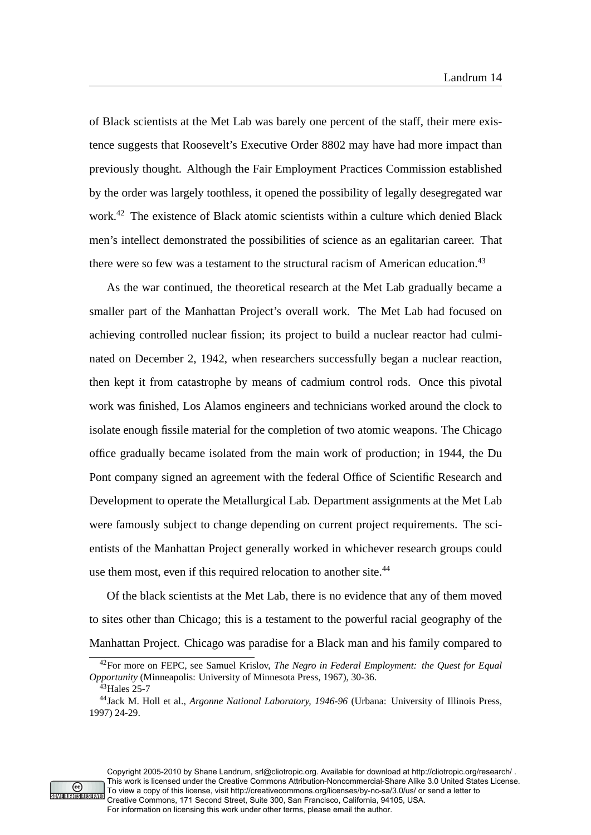of Black scientists at the Met Lab was barely one percent of the staff, their mere existence suggests that Roosevelt's Executive Order 8802 may have had more impact than previously thought. Although the Fair Employment Practices Commission established by the order was largely toothless, it opened the possibility of legally desegregated war work.<sup>42</sup> The existence of Black atomic scientists within a culture which denied Black men's intellect demonstrated the possibilities of science as an egalitarian career. That there were so few was a testament to the structural racism of American education.<sup>43</sup>

As the war continued, the theoretical research at the Met Lab gradually became a smaller part of the Manhattan Project's overall work. The Met Lab had focused on achieving controlled nuclear fission; its project to build a nuclear reactor had culminated on December 2, 1942, when researchers successfully began a nuclear reaction, then kept it from catastrophe by means of cadmium control rods. Once this pivotal work was finished, Los Alamos engineers and technicians worked around the clock to isolate enough fissile material for the completion of two atomic weapons. The Chicago office gradually became isolated from the main work of production; in 1944, the Du Pont company signed an agreement with the federal Office of Scientific Research and Development to operate the Metallurgical Lab. Department assignments at the Met Lab were famously subject to change depending on current project requirements. The scientists of the Manhattan Project generally worked in whichever research groups could use them most, even if this required relocation to another site.<sup>44</sup>

Of the black scientists at the Met Lab, there is no evidence that any of them moved to sites other than Chicago; this is a testament to the powerful racial geography of the Manhattan Project. Chicago was paradise for a Black man and his family compared to



<sup>42</sup>For more on FEPC, see Samuel Krislov, *The Negro in Federal Employment: the Quest for Equal Opportunity* (Minneapolis: University of Minnesota Press, 1967), 30-36.

<sup>&</sup>lt;sup>43</sup>Hales 25-7

<sup>44</sup>Jack M. Holl et al., *Argonne National Laboratory, 1946-96* (Urbana: University of Illinois Press, 1997) 24-29.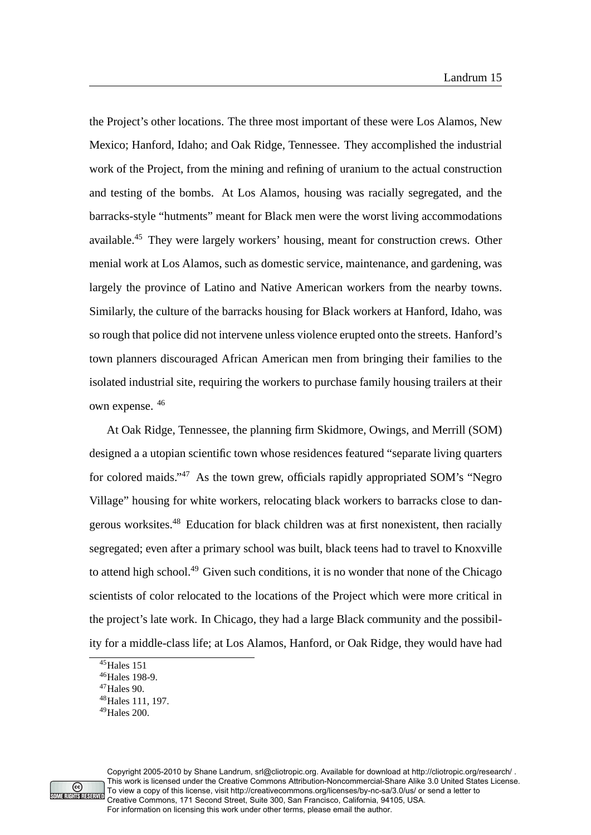the Project's other locations. The three most important of these were Los Alamos, New Mexico; Hanford, Idaho; and Oak Ridge, Tennessee. They accomplished the industrial work of the Project, from the mining and refining of uranium to the actual construction and testing of the bombs. At Los Alamos, housing was racially segregated, and the barracks-style "hutments" meant for Black men were the worst living accommodations available.<sup>45</sup> They were largely workers' housing, meant for construction crews. Other menial work at Los Alamos, such as domestic service, maintenance, and gardening, was largely the province of Latino and Native American workers from the nearby towns. Similarly, the culture of the barracks housing for Black workers at Hanford, Idaho, was so rough that police did not intervene unless violence erupted onto the streets. Hanford's town planners discouraged African American men from bringing their families to the isolated industrial site, requiring the workers to purchase family housing trailers at their own expense. <sup>46</sup>

At Oak Ridge, Tennessee, the planning firm Skidmore, Owings, and Merrill (SOM) designed a a utopian scientific town whose residences featured "separate living quarters for colored maids."<sup>47</sup> As the town grew, officials rapidly appropriated SOM's "Negro Village" housing for white workers, relocating black workers to barracks close to dangerous worksites.<sup>48</sup> Education for black children was at first nonexistent, then racially segregated; even after a primary school was built, black teens had to travel to Knoxville to attend high school.<sup>49</sup> Given such conditions, it is no wonder that none of the Chicago scientists of color relocated to the locations of the Project which were more critical in the project's late work. In Chicago, they had a large Black community and the possibility for a middle-class life; at Los Alamos, Hanford, or Oak Ridge, they would have had



 $45$ Hales 151

<sup>46</sup>Hales 198-9.

<sup>47</sup>Hales 90.

<sup>48</sup>Hales 111, 197.

 $49$ Hales  $200$ .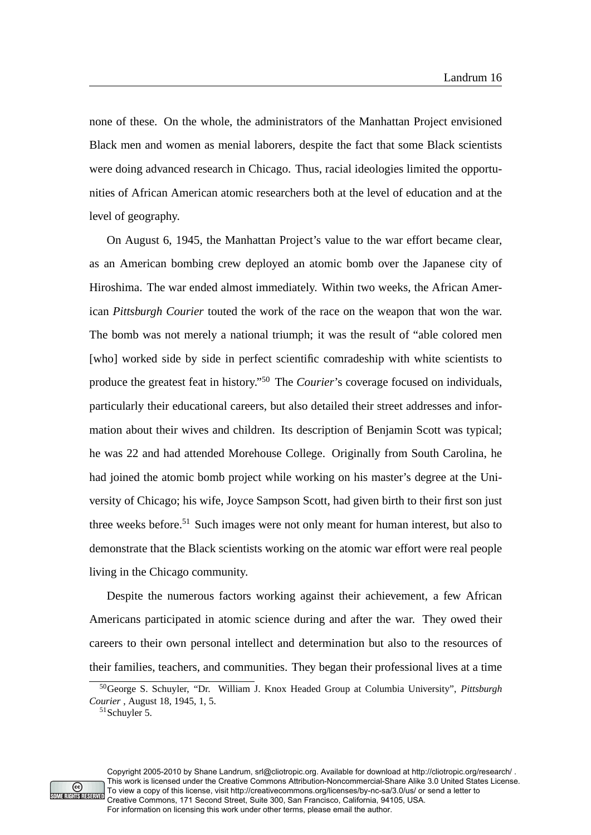none of these. On the whole, the administrators of the Manhattan Project envisioned Black men and women as menial laborers, despite the fact that some Black scientists were doing advanced research in Chicago. Thus, racial ideologies limited the opportunities of African American atomic researchers both at the level of education and at the level of geography.

On August 6, 1945, the Manhattan Project's value to the war effort became clear, as an American bombing crew deployed an atomic bomb over the Japanese city of Hiroshima. The war ended almost immediately. Within two weeks, the African American *Pittsburgh Courier* touted the work of the race on the weapon that won the war. The bomb was not merely a national triumph; it was the result of "able colored men [who] worked side by side in perfect scientific comradeship with white scientists to produce the greatest feat in history."<sup>50</sup> The *Courier*'s coverage focused on individuals, particularly their educational careers, but also detailed their street addresses and information about their wives and children. Its description of Benjamin Scott was typical; he was 22 and had attended Morehouse College. Originally from South Carolina, he had joined the atomic bomb project while working on his master's degree at the University of Chicago; his wife, Joyce Sampson Scott, had given birth to their first son just three weeks before.<sup>51</sup> Such images were not only meant for human interest, but also to demonstrate that the Black scientists working on the atomic war effort were real people living in the Chicago community.

Despite the numerous factors working against their achievement, a few African Americans participated in atomic science during and after the war. They owed their careers to their own personal intellect and determination but also to the resources of their families, teachers, and communities. They began their professional lives at a time



Copyright 2005-2010 by Shane Landrum, srl@cliotropic.org. Available for download at http://cliotropic.org/research/ . This work is licensed under the Creative Commons Attribution-Noncommercial-Share Alike 3.0 United States License. To view a copy of this license, visit http://creativecommons.org/licenses/by-nc-sa/3.0/us/ or send a letter to Creative Commons, 171 Second Street, Suite 300, San Francisco, California, 94105, USA. For information on licensing this work under other terms, please email the author.

<sup>50</sup>George S. Schuyler, "Dr. William J. Knox Headed Group at Columbia University", *Pittsburgh Courier* , August 18, 1945, 1, 5.

 $51$ Schuyler 5.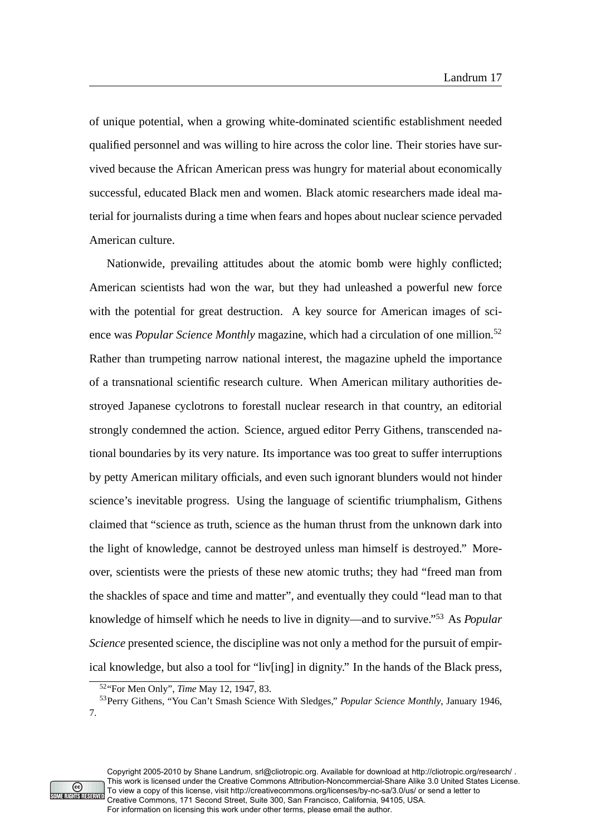of unique potential, when a growing white-dominated scientific establishment needed qualified personnel and was willing to hire across the color line. Their stories have survived because the African American press was hungry for material about economically successful, educated Black men and women. Black atomic researchers made ideal material for journalists during a time when fears and hopes about nuclear science pervaded American culture.

Nationwide, prevailing attitudes about the atomic bomb were highly conflicted; American scientists had won the war, but they had unleashed a powerful new force with the potential for great destruction. A key source for American images of science was *Popular Science Monthly* magazine, which had a circulation of one million.<sup>52</sup> Rather than trumpeting narrow national interest, the magazine upheld the importance of a transnational scientific research culture. When American military authorities destroyed Japanese cyclotrons to forestall nuclear research in that country, an editorial strongly condemned the action. Science, argued editor Perry Githens, transcended national boundaries by its very nature. Its importance was too great to suffer interruptions by petty American military officials, and even such ignorant blunders would not hinder science's inevitable progress. Using the language of scientific triumphalism, Githens claimed that "science as truth, science as the human thrust from the unknown dark into the light of knowledge, cannot be destroyed unless man himself is destroyed." Moreover, scientists were the priests of these new atomic truths; they had "freed man from the shackles of space and time and matter", and eventually they could "lead man to that knowledge of himself which he needs to live in dignity—and to survive."<sup>53</sup> As *Popular Science* presented science, the discipline was not only a method for the pursuit of empirical knowledge, but also a tool for "liv[ing] in dignity." In the hands of the Black press,



<sup>52</sup>"For Men Only", *Time* May 12, 1947, 83.

<sup>53</sup>Perry Githens, "You Can't Smash Science With Sledges," *Popular Science Monthly*, January 1946, 7.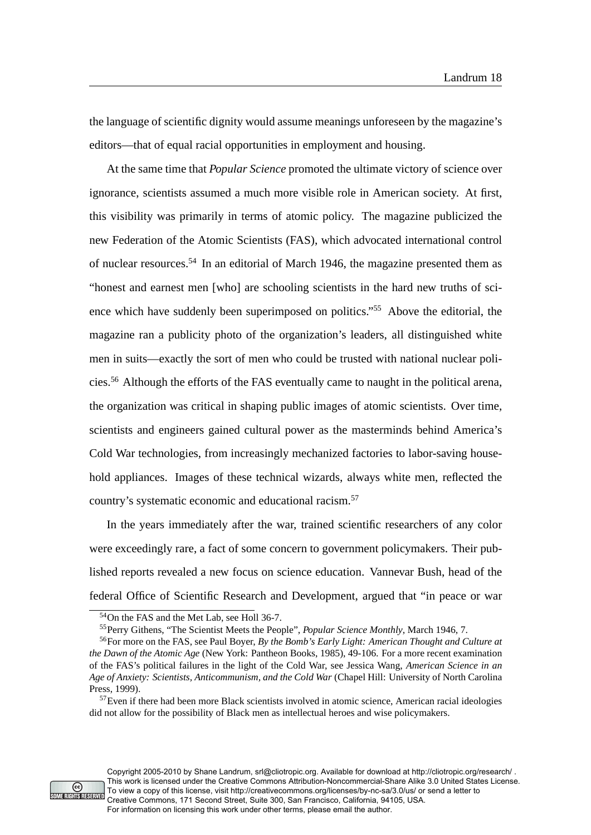the language of scientific dignity would assume meanings unforeseen by the magazine's editors—that of equal racial opportunities in employment and housing.

At the same time that *Popular Science* promoted the ultimate victory of science over ignorance, scientists assumed a much more visible role in American society. At first, this visibility was primarily in terms of atomic policy. The magazine publicized the new Federation of the Atomic Scientists (FAS), which advocated international control of nuclear resources.<sup>54</sup> In an editorial of March 1946, the magazine presented them as "honest and earnest men [who] are schooling scientists in the hard new truths of science which have suddenly been superimposed on politics."<sup>55</sup> Above the editorial, the magazine ran a publicity photo of the organization's leaders, all distinguished white men in suits—exactly the sort of men who could be trusted with national nuclear policies.<sup>56</sup> Although the efforts of the FAS eventually came to naught in the political arena, the organization was critical in shaping public images of atomic scientists. Over time, scientists and engineers gained cultural power as the masterminds behind America's Cold War technologies, from increasingly mechanized factories to labor-saving household appliances. Images of these technical wizards, always white men, reflected the country's systematic economic and educational racism.<sup>57</sup>

In the years immediately after the war, trained scientific researchers of any color were exceedingly rare, a fact of some concern to government policymakers. Their published reports revealed a new focus on science education. Vannevar Bush, head of the federal Office of Scientific Research and Development, argued that "in peace or war



Copyright 2005-2010 by Shane Landrum, srl@cliotropic.org. Available for download at http://cliotropic.org/research/ . This work is licensed under the Creative Commons Attribution-Noncommercial-Share Alike 3.0 United States License. To view a copy of this license, visit http://creativecommons.org/licenses/by-nc-sa/3.0/us/ or send a letter to Creative Commons, 171 Second Street, Suite 300, San Francisco, California, 94105, USA. For information on licensing this work under other terms, please email the author.

<sup>54</sup>On the FAS and the Met Lab, see Holl 36-7.

<sup>55</sup>Perry Githens, "The Scientist Meets the People", *Popular Science Monthly*, March 1946, 7.

<sup>56</sup>For more on the FAS, see Paul Boyer, *By the Bomb's Early Light: American Thought and Culture at the Dawn of the Atomic Age* (New York: Pantheon Books, 1985), 49-106. For a more recent examination of the FAS's political failures in the light of the Cold War, see Jessica Wang, *American Science in an Age of Anxiety: Scientists, Anticommunism, and the Cold War* (Chapel Hill: University of North Carolina Press, 1999).

<sup>57</sup>Even if there had been more Black scientists involved in atomic science, American racial ideologies did not allow for the possibility of Black men as intellectual heroes and wise policymakers.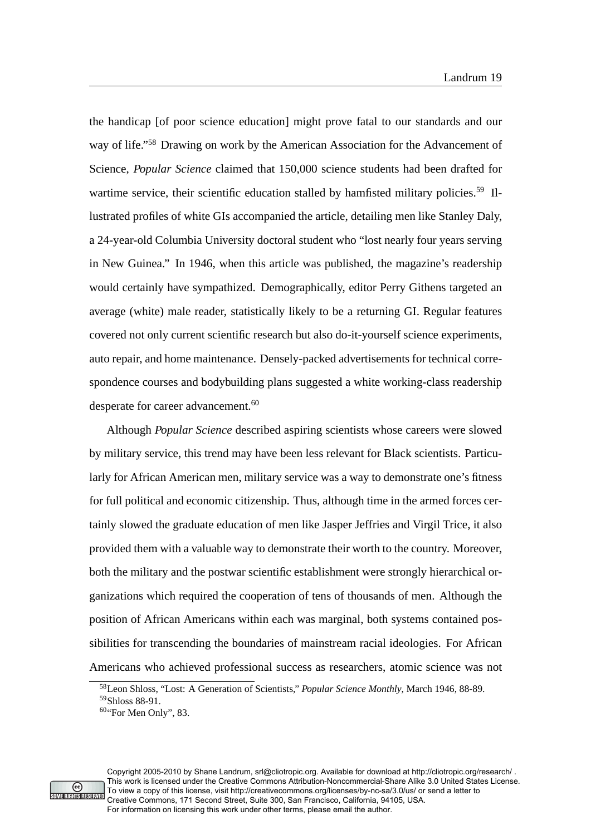the handicap [of poor science education] might prove fatal to our standards and our way of life."<sup>58</sup> Drawing on work by the American Association for the Advancement of Science, *Popular Science* claimed that 150,000 science students had been drafted for wartime service, their scientific education stalled by hamfisted military policies.<sup>59</sup> Illustrated profiles of white GIs accompanied the article, detailing men like Stanley Daly, a 24-year-old Columbia University doctoral student who "lost nearly four years serving in New Guinea." In 1946, when this article was published, the magazine's readership would certainly have sympathized. Demographically, editor Perry Githens targeted an average (white) male reader, statistically likely to be a returning GI. Regular features covered not only current scientific research but also do-it-yourself science experiments, auto repair, and home maintenance. Densely-packed advertisements for technical correspondence courses and bodybuilding plans suggested a white working-class readership desperate for career advancement.<sup>60</sup>

Although *Popular Science* described aspiring scientists whose careers were slowed by military service, this trend may have been less relevant for Black scientists. Particularly for African American men, military service was a way to demonstrate one's fitness for full political and economic citizenship. Thus, although time in the armed forces certainly slowed the graduate education of men like Jasper Jeffries and Virgil Trice, it also provided them with a valuable way to demonstrate their worth to the country. Moreover, both the military and the postwar scientific establishment were strongly hierarchical organizations which required the cooperation of tens of thousands of men. Although the position of African Americans within each was marginal, both systems contained possibilities for transcending the boundaries of mainstream racial ideologies. For African Americans who achieved professional success as researchers, atomic science was not



Copyright 2005-2010 by Shane Landrum, srl@cliotropic.org. Available for download at http://cliotropic.org/research/ . This work is licensed under the Creative Commons Attribution-Noncommercial-Share Alike 3.0 United States License. To view a copy of this license, visit http://creativecommons.org/licenses/by-nc-sa/3.0/us/ or send a letter to Creative Commons, 171 Second Street, Suite 300, San Francisco, California, 94105, USA. For information on licensing this work under other terms, please email the author.

<sup>58</sup>Leon Shloss, "Lost: A Generation of Scientists," *Popular Science Monthly*, March 1946, 88-89. <sup>59</sup>Shloss 88-91.

 $60$ "For Men Only", 83.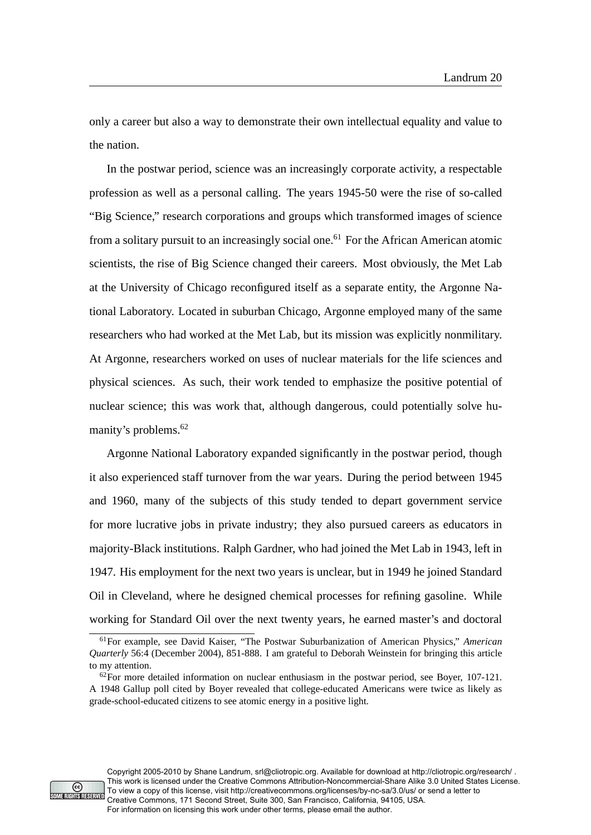only a career but also a way to demonstrate their own intellectual equality and value to the nation.

In the postwar period, science was an increasingly corporate activity, a respectable profession as well as a personal calling. The years 1945-50 were the rise of so-called "Big Science," research corporations and groups which transformed images of science from a solitary pursuit to an increasingly social one.<sup>61</sup> For the African American atomic scientists, the rise of Big Science changed their careers. Most obviously, the Met Lab at the University of Chicago reconfigured itself as a separate entity, the Argonne National Laboratory. Located in suburban Chicago, Argonne employed many of the same researchers who had worked at the Met Lab, but its mission was explicitly nonmilitary. At Argonne, researchers worked on uses of nuclear materials for the life sciences and physical sciences. As such, their work tended to emphasize the positive potential of nuclear science; this was work that, although dangerous, could potentially solve humanity's problems.<sup>62</sup>

Argonne National Laboratory expanded significantly in the postwar period, though it also experienced staff turnover from the war years. During the period between 1945 and 1960, many of the subjects of this study tended to depart government service for more lucrative jobs in private industry; they also pursued careers as educators in majority-Black institutions. Ralph Gardner, who had joined the Met Lab in 1943, left in 1947. His employment for the next two years is unclear, but in 1949 he joined Standard Oil in Cleveland, where he designed chemical processes for refining gasoline. While working for Standard Oil over the next twenty years, he earned master's and doctoral



<sup>61</sup>For example, see David Kaiser, "The Postwar Suburbanization of American Physics," *American Quarterly* 56:4 (December 2004), 851-888. I am grateful to Deborah Weinstein for bringing this article to my attention.

 $62$ For more detailed information on nuclear enthusiasm in the postwar period, see Boyer, 107-121. A 1948 Gallup poll cited by Boyer revealed that college-educated Americans were twice as likely as grade-school-educated citizens to see atomic energy in a positive light.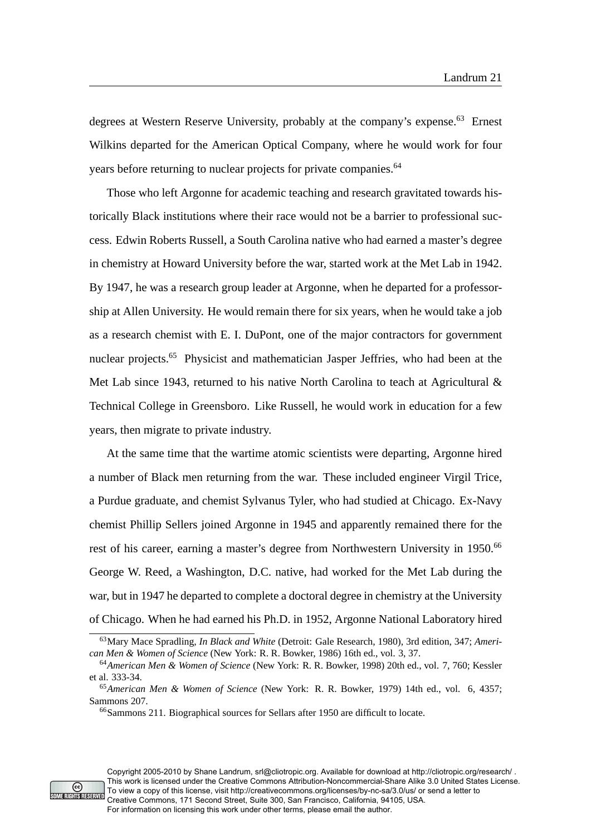degrees at Western Reserve University, probably at the company's expense.<sup>63</sup> Ernest Wilkins departed for the American Optical Company, where he would work for four years before returning to nuclear projects for private companies.<sup>64</sup>

Those who left Argonne for academic teaching and research gravitated towards historically Black institutions where their race would not be a barrier to professional success. Edwin Roberts Russell, a South Carolina native who had earned a master's degree in chemistry at Howard University before the war, started work at the Met Lab in 1942. By 1947, he was a research group leader at Argonne, when he departed for a professorship at Allen University. He would remain there for six years, when he would take a job as a research chemist with E. I. DuPont, one of the major contractors for government nuclear projects.<sup>65</sup> Physicist and mathematician Jasper Jeffries, who had been at the Met Lab since 1943, returned to his native North Carolina to teach at Agricultural & Technical College in Greensboro. Like Russell, he would work in education for a few years, then migrate to private industry.

At the same time that the wartime atomic scientists were departing, Argonne hired a number of Black men returning from the war. These included engineer Virgil Trice, a Purdue graduate, and chemist Sylvanus Tyler, who had studied at Chicago. Ex-Navy chemist Phillip Sellers joined Argonne in 1945 and apparently remained there for the rest of his career, earning a master's degree from Northwestern University in 1950.<sup>66</sup> George W. Reed, a Washington, D.C. native, had worked for the Met Lab during the war, but in 1947 he departed to complete a doctoral degree in chemistry at the University of Chicago. When he had earned his Ph.D. in 1952, Argonne National Laboratory hired



<sup>63</sup>Mary Mace Spradling, *In Black and White* (Detroit: Gale Research, 1980), 3rd edition, 347; *American Men & Women of Science* (New York: R. R. Bowker, 1986) 16th ed., vol. 3, 37.

<sup>64</sup>*American Men & Women of Science* (New York: R. R. Bowker, 1998) 20th ed., vol. 7, 760; Kessler et al. 333-34.

<sup>65</sup>*American Men & Women of Science* (New York: R. R. Bowker, 1979) 14th ed., vol. 6, 4357; Sammons 207.

<sup>66</sup>Sammons 211. Biographical sources for Sellars after 1950 are difficult to locate.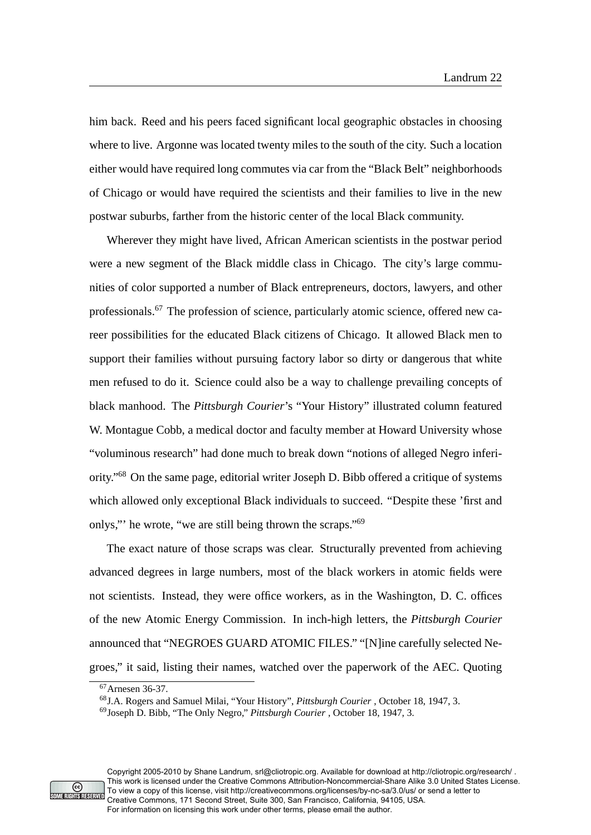him back. Reed and his peers faced significant local geographic obstacles in choosing where to live. Argonne was located twenty miles to the south of the city. Such a location either would have required long commutes via car from the "Black Belt" neighborhoods of Chicago or would have required the scientists and their families to live in the new postwar suburbs, farther from the historic center of the local Black community.

Wherever they might have lived, African American scientists in the postwar period were a new segment of the Black middle class in Chicago. The city's large communities of color supported a number of Black entrepreneurs, doctors, lawyers, and other professionals.<sup>67</sup> The profession of science, particularly atomic science, offered new career possibilities for the educated Black citizens of Chicago. It allowed Black men to support their families without pursuing factory labor so dirty or dangerous that white men refused to do it. Science could also be a way to challenge prevailing concepts of black manhood. The *Pittsburgh Courier*'s "Your History" illustrated column featured W. Montague Cobb, a medical doctor and faculty member at Howard University whose "voluminous research" had done much to break down "notions of alleged Negro inferiority."<sup>68</sup> On the same page, editorial writer Joseph D. Bibb offered a critique of systems which allowed only exceptional Black individuals to succeed. "Despite these 'first and onlys,"' he wrote, "we are still being thrown the scraps."<sup>69</sup>

The exact nature of those scraps was clear. Structurally prevented from achieving advanced degrees in large numbers, most of the black workers in atomic fields were not scientists. Instead, they were office workers, as in the Washington, D. C. offices of the new Atomic Energy Commission. In inch-high letters, the *Pittsburgh Courier* announced that "NEGROES GUARD ATOMIC FILES." "[N]ine carefully selected Negroes," it said, listing their names, watched over the paperwork of the AEC. Quoting



<sup>67</sup>Arnesen 36-37.

<sup>68</sup>J.A. Rogers and Samuel Milai, "Your History", *Pittsburgh Courier* , October 18, 1947, 3.

<sup>69</sup>Joseph D. Bibb, "The Only Negro," *Pittsburgh Courier* , October 18, 1947, 3.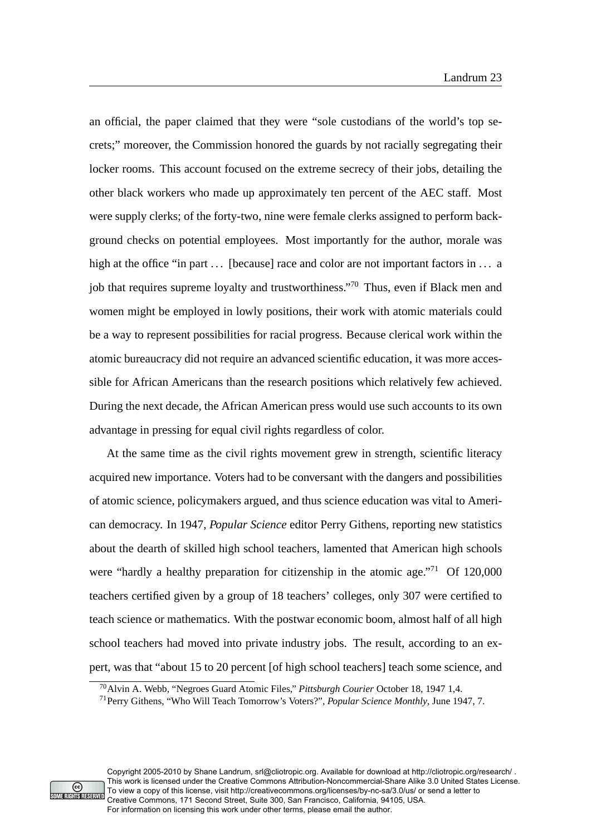an official, the paper claimed that they were "sole custodians of the world's top secrets;" moreover, the Commission honored the guards by not racially segregating their locker rooms. This account focused on the extreme secrecy of their jobs, detailing the other black workers who made up approximately ten percent of the AEC staff. Most were supply clerks; of the forty-two, nine were female clerks assigned to perform background checks on potential employees. Most importantly for the author, morale was high at the office "in part  $\dots$  [because] race and color are not important factors in  $\dots$  a job that requires supreme loyalty and trustworthiness."<sup>70</sup> Thus, even if Black men and women might be employed in lowly positions, their work with atomic materials could be a way to represent possibilities for racial progress. Because clerical work within the atomic bureaucracy did not require an advanced scientific education, it was more accessible for African Americans than the research positions which relatively few achieved. During the next decade, the African American press would use such accounts to its own advantage in pressing for equal civil rights regardless of color.

At the same time as the civil rights movement grew in strength, scientific literacy acquired new importance. Voters had to be conversant with the dangers and possibilities of atomic science, policymakers argued, and thus science education was vital to American democracy. In 1947, *Popular Science* editor Perry Githens, reporting new statistics about the dearth of skilled high school teachers, lamented that American high schools were "hardly a healthy preparation for citizenship in the atomic age."<sup>71</sup> Of 120,000 teachers certified given by a group of 18 teachers' colleges, only 307 were certified to teach science or mathematics. With the postwar economic boom, almost half of all high school teachers had moved into private industry jobs. The result, according to an expert, was that "about 15 to 20 percent [of high school teachers] teach some science, and



Copyright 2005-2010 by Shane Landrum, srl@cliotropic.org. Available for download at http://cliotropic.org/research/ . This work is licensed under the Creative Commons Attribution-Noncommercial-Share Alike 3.0 United States License. To view a copy of this license, visit http://creativecommons.org/licenses/by-nc-sa/3.0/us/ or send a letter to Creative Commons, 171 Second Street, Suite 300, San Francisco, California, 94105, USA. For information on licensing this work under other terms, please email the author.

<sup>70</sup>Alvin A. Webb, "Negroes Guard Atomic Files," *Pittsburgh Courier* October 18, 1947 1,4.

<sup>71</sup>Perry Githens, "Who Will Teach Tomorrow's Voters?", *Popular Science Monthly*, June 1947, 7.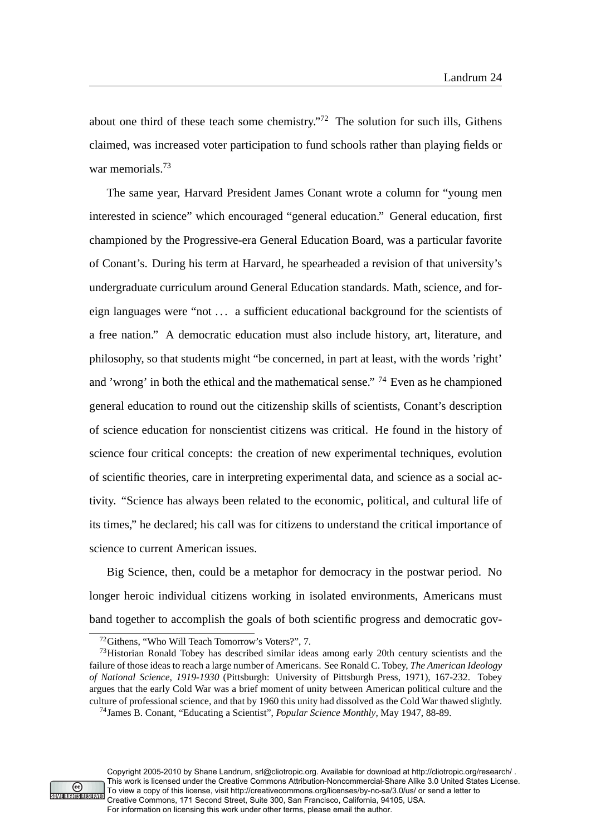about one third of these teach some chemistry."<sup>72</sup> The solution for such ills, Githens claimed, was increased voter participation to fund schools rather than playing fields or war memorials.<sup>73</sup>

The same year, Harvard President James Conant wrote a column for "young men interested in science" which encouraged "general education." General education, first championed by the Progressive-era General Education Board, was a particular favorite of Conant's. During his term at Harvard, he spearheaded a revision of that university's undergraduate curriculum around General Education standards. Math, science, and foreign languages were "not . . . a sufficient educational background for the scientists of a free nation." A democratic education must also include history, art, literature, and philosophy, so that students might "be concerned, in part at least, with the words 'right' and 'wrong' in both the ethical and the mathematical sense." <sup>74</sup> Even as he championed general education to round out the citizenship skills of scientists, Conant's description of science education for nonscientist citizens was critical. He found in the history of science four critical concepts: the creation of new experimental techniques, evolution of scientific theories, care in interpreting experimental data, and science as a social activity. "Science has always been related to the economic, political, and cultural life of its times," he declared; his call was for citizens to understand the critical importance of science to current American issues.

Big Science, then, could be a metaphor for democracy in the postwar period. No longer heroic individual citizens working in isolated environments, Americans must band together to accomplish the goals of both scientific progress and democratic gov-



Copyright 2005-2010 by Shane Landrum, srl@cliotropic.org. Available for download at http://cliotropic.org/research/ . This work is licensed under the Creative Commons Attribution-Noncommercial-Share Alike 3.0 United States License. To view a copy of this license, visit http://creativecommons.org/licenses/by-nc-sa/3.0/us/ or send a letter to Creative Commons, 171 Second Street, Suite 300, San Francisco, California, 94105, USA. For information on licensing this work under other terms, please email the author.

<sup>72</sup>Githens, "Who Will Teach Tomorrow's Voters?", 7.

<sup>&</sup>lt;sup>73</sup>Historian Ronald Tobey has described similar ideas among early 20th century scientists and the failure of those ideas to reach a large number of Americans. See Ronald C. Tobey, *The American Ideology of National Science, 1919-1930* (Pittsburgh: University of Pittsburgh Press, 1971), 167-232. Tobey argues that the early Cold War was a brief moment of unity between American political culture and the culture of professional science, and that by 1960 this unity had dissolved as the Cold War thawed slightly.

<sup>74</sup>James B. Conant, "Educating a Scientist", *Popular Science Monthly*, May 1947, 88-89.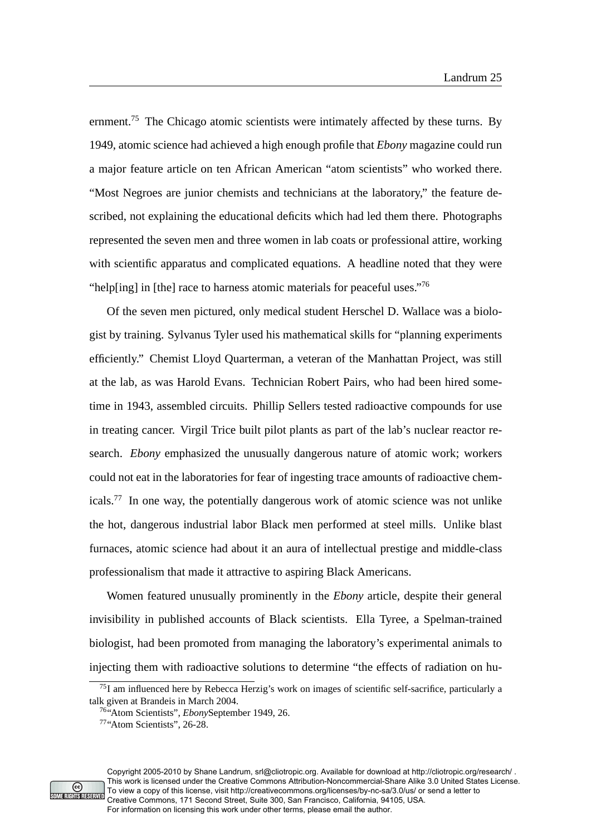ernment.<sup>75</sup> The Chicago atomic scientists were intimately affected by these turns. By 1949, atomic science had achieved a high enough profile that *Ebony* magazine could run a major feature article on ten African American "atom scientists" who worked there. "Most Negroes are junior chemists and technicians at the laboratory," the feature described, not explaining the educational deficits which had led them there. Photographs represented the seven men and three women in lab coats or professional attire, working with scientific apparatus and complicated equations. A headline noted that they were "help[ing] in [the] race to harness atomic materials for peaceful uses."<sup>76</sup>

Of the seven men pictured, only medical student Herschel D. Wallace was a biologist by training. Sylvanus Tyler used his mathematical skills for "planning experiments efficiently." Chemist Lloyd Quarterman, a veteran of the Manhattan Project, was still at the lab, as was Harold Evans. Technician Robert Pairs, who had been hired sometime in 1943, assembled circuits. Phillip Sellers tested radioactive compounds for use in treating cancer. Virgil Trice built pilot plants as part of the lab's nuclear reactor research. *Ebony* emphasized the unusually dangerous nature of atomic work; workers could not eat in the laboratories for fear of ingesting trace amounts of radioactive chemicals.<sup>77</sup> In one way, the potentially dangerous work of atomic science was not unlike the hot, dangerous industrial labor Black men performed at steel mills. Unlike blast furnaces, atomic science had about it an aura of intellectual prestige and middle-class professionalism that made it attractive to aspiring Black Americans.

Women featured unusually prominently in the *Ebony* article, despite their general invisibility in published accounts of Black scientists. Ella Tyree, a Spelman-trained biologist, had been promoted from managing the laboratory's experimental animals to injecting them with radioactive solutions to determine "the effects of radiation on hu-



Copyright 2005-2010 by Shane Landrum, srl@cliotropic.org. Available for download at http://cliotropic.org/research/ . This work is licensed under the Creative Commons Attribution-Noncommercial-Share Alike 3.0 United States License. To view a copy of this license, visit http://creativecommons.org/licenses/by-nc-sa/3.0/us/ or send a letter to Creative Commons, 171 Second Street, Suite 300, San Francisco, California, 94105, USA. For information on licensing this work under other terms, please email the author.

<sup>75</sup>I am influenced here by Rebecca Herzig's work on images of scientific self-sacrifice, particularly a talk given at Brandeis in March 2004.

<sup>76</sup>"Atom Scientists", *Ebony*September 1949, 26.

<sup>77</sup>"Atom Scientists", 26-28.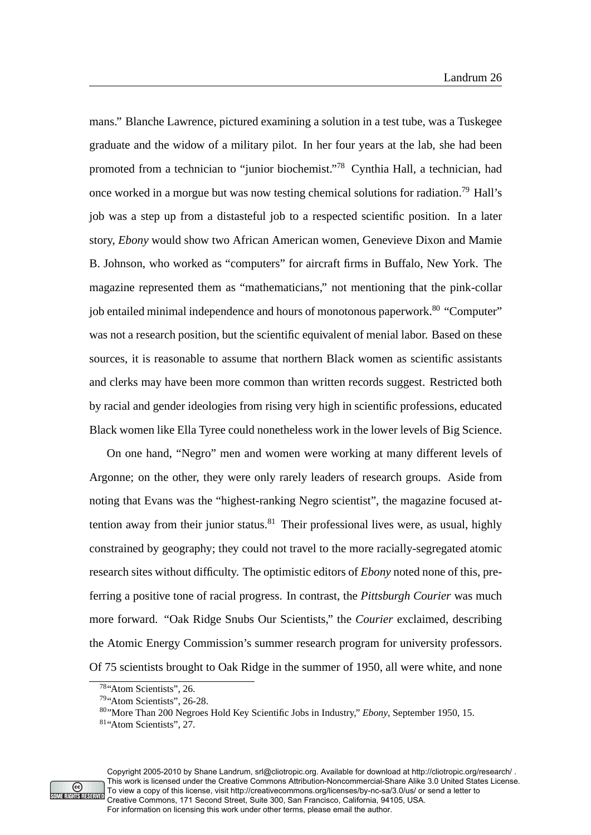mans." Blanche Lawrence, pictured examining a solution in a test tube, was a Tuskegee graduate and the widow of a military pilot. In her four years at the lab, she had been promoted from a technician to "junior biochemist."<sup>78</sup> Cynthia Hall, a technician, had once worked in a morgue but was now testing chemical solutions for radiation.<sup>79</sup> Hall's job was a step up from a distasteful job to a respected scientific position. In a later story, *Ebony* would show two African American women, Genevieve Dixon and Mamie B. Johnson, who worked as "computers" for aircraft firms in Buffalo, New York. The magazine represented them as "mathematicians," not mentioning that the pink-collar job entailed minimal independence and hours of monotonous paperwork.<sup>80</sup> "Computer" was not a research position, but the scientific equivalent of menial labor. Based on these sources, it is reasonable to assume that northern Black women as scientific assistants and clerks may have been more common than written records suggest. Restricted both by racial and gender ideologies from rising very high in scientific professions, educated Black women like Ella Tyree could nonetheless work in the lower levels of Big Science.

On one hand, "Negro" men and women were working at many different levels of Argonne; on the other, they were only rarely leaders of research groups. Aside from noting that Evans was the "highest-ranking Negro scientist", the magazine focused attention away from their junior status. $81$  Their professional lives were, as usual, highly constrained by geography; they could not travel to the more racially-segregated atomic research sites without difficulty. The optimistic editors of *Ebony* noted none of this, preferring a positive tone of racial progress. In contrast, the *Pittsburgh Courier* was much more forward. "Oak Ridge Snubs Our Scientists," the *Courier* exclaimed, describing the Atomic Energy Commission's summer research program for university professors. Of 75 scientists brought to Oak Ridge in the summer of 1950, all were white, and none



<sup>78</sup>"Atom Scientists", 26.

<sup>79</sup>"Atom Scientists", 26-28.

<sup>80</sup>"More Than 200 Negroes Hold Key Scientific Jobs in Industry," *Ebony*, September 1950, 15.

<sup>81</sup>"Atom Scientists", 27.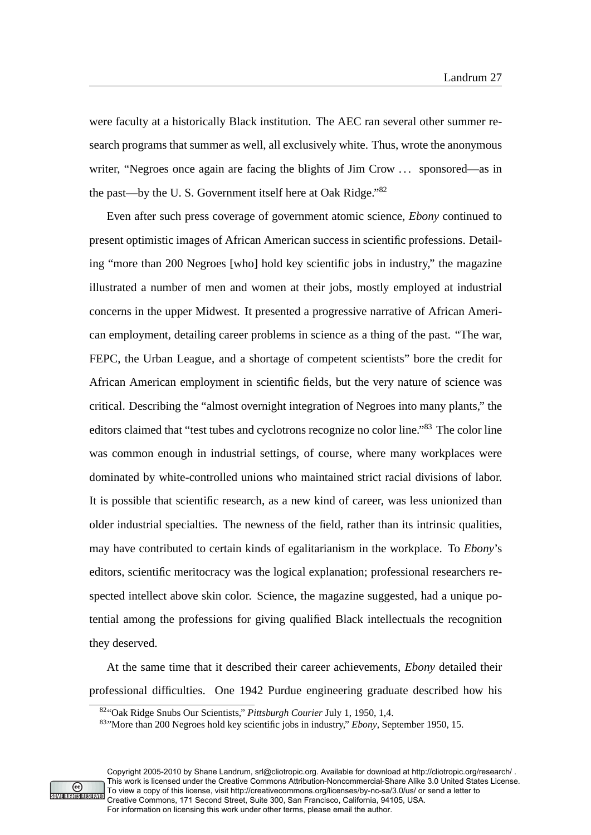were faculty at a historically Black institution. The AEC ran several other summer research programs that summer as well, all exclusively white. Thus, wrote the anonymous writer, "Negroes once again are facing the blights of Jim Crow ... sponsored—as in the past—by the U. S. Government itself here at Oak Ridge."<sup>82</sup>

Even after such press coverage of government atomic science, *Ebony* continued to present optimistic images of African American success in scientific professions. Detailing "more than 200 Negroes [who] hold key scientific jobs in industry," the magazine illustrated a number of men and women at their jobs, mostly employed at industrial concerns in the upper Midwest. It presented a progressive narrative of African American employment, detailing career problems in science as a thing of the past. "The war, FEPC, the Urban League, and a shortage of competent scientists" bore the credit for African American employment in scientific fields, but the very nature of science was critical. Describing the "almost overnight integration of Negroes into many plants," the editors claimed that "test tubes and cyclotrons recognize no color line."<sup>83</sup> The color line was common enough in industrial settings, of course, where many workplaces were dominated by white-controlled unions who maintained strict racial divisions of labor. It is possible that scientific research, as a new kind of career, was less unionized than older industrial specialties. The newness of the field, rather than its intrinsic qualities, may have contributed to certain kinds of egalitarianism in the workplace. To *Ebony*'s editors, scientific meritocracy was the logical explanation; professional researchers respected intellect above skin color. Science, the magazine suggested, had a unique potential among the professions for giving qualified Black intellectuals the recognition they deserved.

At the same time that it described their career achievements, *Ebony* detailed their professional difficulties. One 1942 Purdue engineering graduate described how his



Copyright 2005-2010 by Shane Landrum, srl@cliotropic.org. Available for download at http://cliotropic.org/research/ . This work is licensed under the Creative Commons Attribution-Noncommercial-Share Alike 3.0 United States License. To view a copy of this license, visit http://creativecommons.org/licenses/by-nc-sa/3.0/us/ or send a letter to Creative Commons, 171 Second Street, Suite 300, San Francisco, California, 94105, USA. For information on licensing this work under other terms, please email the author.

<sup>82</sup>"Oak Ridge Snubs Our Scientists," *Pittsburgh Courier* July 1, 1950, 1,4.

<sup>83</sup>"More than 200 Negroes hold key scientific jobs in industry," *Ebony*, September 1950, 15.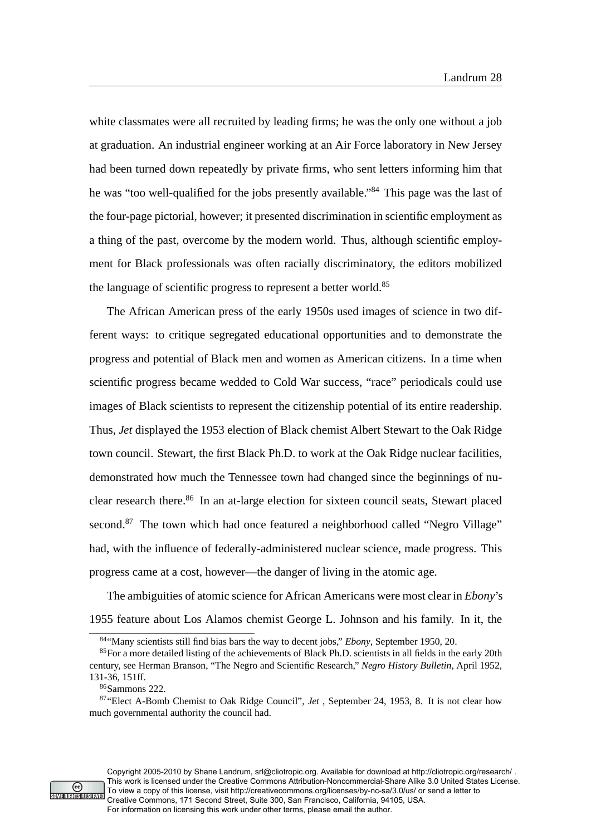white classmates were all recruited by leading firms; he was the only one without a job at graduation. An industrial engineer working at an Air Force laboratory in New Jersey had been turned down repeatedly by private firms, who sent letters informing him that he was "too well-qualified for the jobs presently available."<sup>84</sup> This page was the last of the four-page pictorial, however; it presented discrimination in scientific employment as a thing of the past, overcome by the modern world. Thus, although scientific employment for Black professionals was often racially discriminatory, the editors mobilized the language of scientific progress to represent a better world.<sup>85</sup>

The African American press of the early 1950s used images of science in two different ways: to critique segregated educational opportunities and to demonstrate the progress and potential of Black men and women as American citizens. In a time when scientific progress became wedded to Cold War success, "race" periodicals could use images of Black scientists to represent the citizenship potential of its entire readership. Thus, *Jet* displayed the 1953 election of Black chemist Albert Stewart to the Oak Ridge town council. Stewart, the first Black Ph.D. to work at the Oak Ridge nuclear facilities, demonstrated how much the Tennessee town had changed since the beginnings of nuclear research there.<sup>86</sup> In an at-large election for sixteen council seats, Stewart placed second.<sup>87</sup> The town which had once featured a neighborhood called "Negro Village" had, with the influence of federally-administered nuclear science, made progress. This progress came at a cost, however—the danger of living in the atomic age.

The ambiguities of atomic science for African Americans were most clear in *Ebony*'s 1955 feature about Los Alamos chemist George L. Johnson and his family. In it, the



Copyright 2005-2010 by Shane Landrum, srl@cliotropic.org. Available for download at http://cliotropic.org/research/ . This work is licensed under the Creative Commons Attribution-Noncommercial-Share Alike 3.0 United States License. To view a copy of this license, visit http://creativecommons.org/licenses/by-nc-sa/3.0/us/ or send a letter to Creative Commons, 171 Second Street, Suite 300, San Francisco, California, 94105, USA. For information on licensing this work under other terms, please email the author.

<sup>84</sup>"Many scientists still find bias bars the way to decent jobs," *Ebony*, September 1950, 20.

<sup>&</sup>lt;sup>85</sup>For a more detailed listing of the achievements of Black Ph.D. scientists in all fields in the early 20th century, see Herman Branson, "The Negro and Scientific Research," *Negro History Bulletin*, April 1952, 131-36, 151ff.

<sup>86</sup>Sammons 222.

<sup>87</sup>"Elect A-Bomb Chemist to Oak Ridge Council", *Jet* , September 24, 1953, 8. It is not clear how much governmental authority the council had.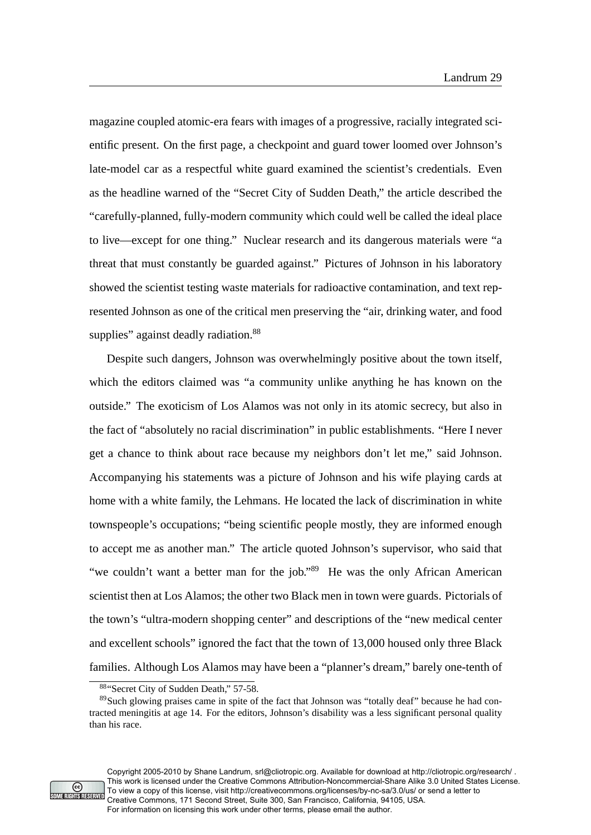magazine coupled atomic-era fears with images of a progressive, racially integrated scientific present. On the first page, a checkpoint and guard tower loomed over Johnson's late-model car as a respectful white guard examined the scientist's credentials. Even as the headline warned of the "Secret City of Sudden Death," the article described the "carefully-planned, fully-modern community which could well be called the ideal place to live—except for one thing." Nuclear research and its dangerous materials were "a threat that must constantly be guarded against." Pictures of Johnson in his laboratory showed the scientist testing waste materials for radioactive contamination, and text represented Johnson as one of the critical men preserving the "air, drinking water, and food supplies" against deadly radiation.<sup>88</sup>

Despite such dangers, Johnson was overwhelmingly positive about the town itself, which the editors claimed was "a community unlike anything he has known on the outside." The exoticism of Los Alamos was not only in its atomic secrecy, but also in the fact of "absolutely no racial discrimination" in public establishments. "Here I never get a chance to think about race because my neighbors don't let me," said Johnson. Accompanying his statements was a picture of Johnson and his wife playing cards at home with a white family, the Lehmans. He located the lack of discrimination in white townspeople's occupations; "being scientific people mostly, they are informed enough to accept me as another man." The article quoted Johnson's supervisor, who said that "we couldn't want a better man for the job."<sup>89</sup> He was the only African American scientist then at Los Alamos; the other two Black men in town were guards. Pictorials of the town's "ultra-modern shopping center" and descriptions of the "new medical center and excellent schools" ignored the fact that the town of 13,000 housed only three Black families. Although Los Alamos may have been a "planner's dream," barely one-tenth of



Copyright 2005-2010 by Shane Landrum, srl@cliotropic.org. Available for download at http://cliotropic.org/research/ . This work is licensed under the Creative Commons Attribution-Noncommercial-Share Alike 3.0 United States License. To view a copy of this license, visit http://creativecommons.org/licenses/by-nc-sa/3.0/us/ or send a letter to Creative Commons, 171 Second Street, Suite 300, San Francisco, California, 94105, USA. For information on licensing this work under other terms, please email the author.

<sup>88&</sup>quot;Secret City of Sudden Death," 57-58.

<sup>&</sup>lt;sup>89</sup>Such glowing praises came in spite of the fact that Johnson was "totally deaf" because he had contracted meningitis at age 14. For the editors, Johnson's disability was a less significant personal quality than his race.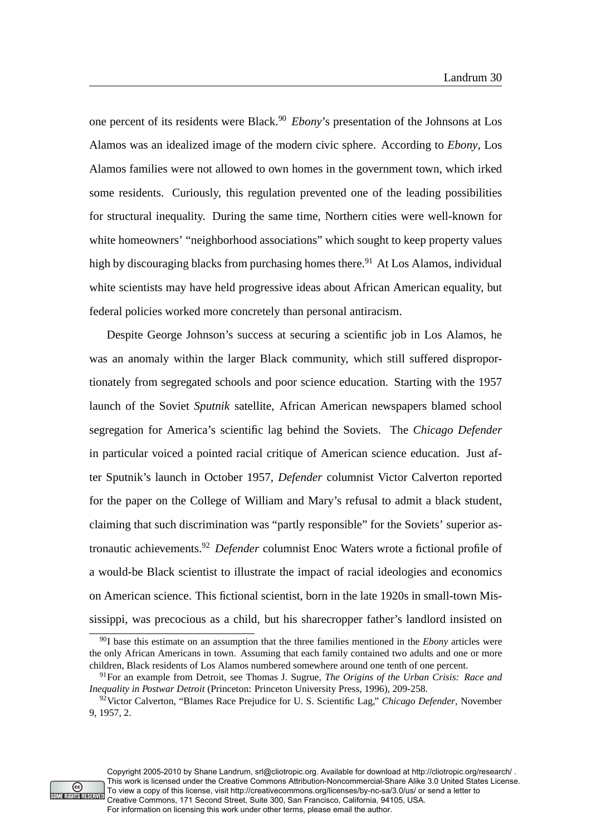one percent of its residents were Black.<sup>90</sup> *Ebony*'s presentation of the Johnsons at Los Alamos was an idealized image of the modern civic sphere. According to *Ebony*, Los Alamos families were not allowed to own homes in the government town, which irked some residents. Curiously, this regulation prevented one of the leading possibilities for structural inequality. During the same time, Northern cities were well-known for white homeowners' "neighborhood associations" which sought to keep property values high by discouraging blacks from purchasing homes there.<sup>91</sup> At Los Alamos, individual white scientists may have held progressive ideas about African American equality, but federal policies worked more concretely than personal antiracism.

Despite George Johnson's success at securing a scientific job in Los Alamos, he was an anomaly within the larger Black community, which still suffered disproportionately from segregated schools and poor science education. Starting with the 1957 launch of the Soviet *Sputnik* satellite, African American newspapers blamed school segregation for America's scientific lag behind the Soviets. The *Chicago Defender* in particular voiced a pointed racial critique of American science education. Just after Sputnik's launch in October 1957, *Defender* columnist Victor Calverton reported for the paper on the College of William and Mary's refusal to admit a black student, claiming that such discrimination was "partly responsible" for the Soviets' superior astronautic achievements.<sup>92</sup> *Defender* columnist Enoc Waters wrote a fictional profile of a would-be Black scientist to illustrate the impact of racial ideologies and economics on American science. This fictional scientist, born in the late 1920s in small-town Mississippi, was precocious as a child, but his sharecropper father's landlord insisted on



Copyright 2005-2010 by Shane Landrum, srl@cliotropic.org. Available for download at http://cliotropic.org/research/ . This work is licensed under the Creative Commons Attribution-Noncommercial-Share Alike 3.0 United States License. To view a copy of this license, visit http://creativecommons.org/licenses/by-nc-sa/3.0/us/ or send a letter to Creative Commons, 171 Second Street, Suite 300, San Francisco, California, 94105, USA. For information on licensing this work under other terms, please email the author.

<sup>90</sup>I base this estimate on an assumption that the three families mentioned in the *Ebony* articles were the only African Americans in town. Assuming that each family contained two adults and one or more children, Black residents of Los Alamos numbered somewhere around one tenth of one percent.

<sup>91</sup>For an example from Detroit, see Thomas J. Sugrue, *The Origins of the Urban Crisis: Race and Inequality in Postwar Detroit* (Princeton: Princeton University Press, 1996), 209-258.

<sup>92</sup>Victor Calverton, "Blames Race Prejudice for U. S. Scientific Lag," *Chicago Defender*, November 9, 1957, 2.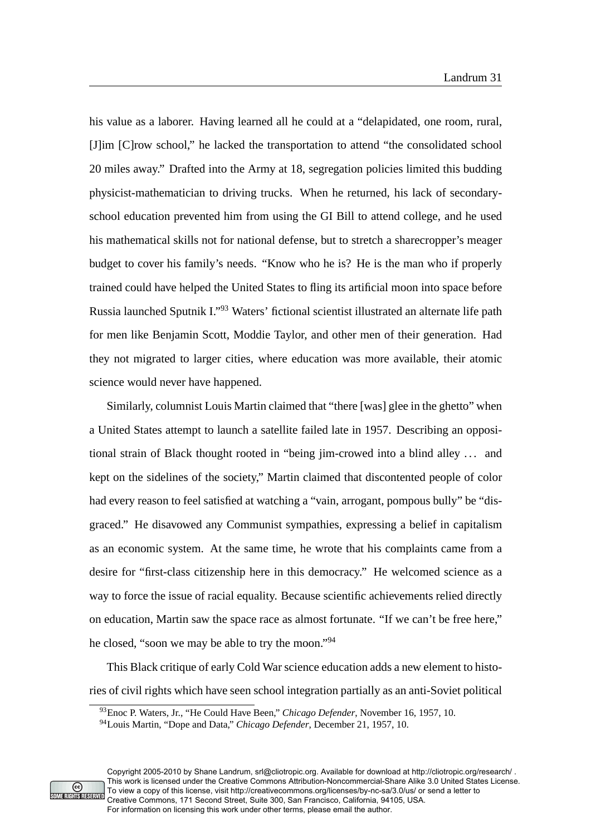his value as a laborer. Having learned all he could at a "delapidated, one room, rural, [J]im [C]row school," he lacked the transportation to attend "the consolidated school 20 miles away." Drafted into the Army at 18, segregation policies limited this budding physicist-mathematician to driving trucks. When he returned, his lack of secondaryschool education prevented him from using the GI Bill to attend college, and he used his mathematical skills not for national defense, but to stretch a sharecropper's meager budget to cover his family's needs. "Know who he is? He is the man who if properly trained could have helped the United States to fling its artificial moon into space before Russia launched Sputnik I."<sup>93</sup> Waters' fictional scientist illustrated an alternate life path for men like Benjamin Scott, Moddie Taylor, and other men of their generation. Had they not migrated to larger cities, where education was more available, their atomic science would never have happened.

Similarly, columnist Louis Martin claimed that "there [was] glee in the ghetto" when a United States attempt to launch a satellite failed late in 1957. Describing an oppositional strain of Black thought rooted in "being jim-crowed into a blind alley . . . and kept on the sidelines of the society," Martin claimed that discontented people of color had every reason to feel satisfied at watching a "vain, arrogant, pompous bully" be "disgraced." He disavowed any Communist sympathies, expressing a belief in capitalism as an economic system. At the same time, he wrote that his complaints came from a desire for "first-class citizenship here in this democracy." He welcomed science as a way to force the issue of racial equality. Because scientific achievements relied directly on education, Martin saw the space race as almost fortunate. "If we can't be free here," he closed, "soon we may be able to try the moon."<sup>94</sup>

This Black critique of early Cold War science education adds a new element to histories of civil rights which have seen school integration partially as an anti-Soviet political



Copyright 2005-2010 by Shane Landrum, srl@cliotropic.org. Available for download at http://cliotropic.org/research/ . This work is licensed under the Creative Commons Attribution-Noncommercial-Share Alike 3.0 United States License. To view a copy of this license, visit http://creativecommons.org/licenses/by-nc-sa/3.0/us/ or send a letter to Creative Commons, 171 Second Street, Suite 300, San Francisco, California, 94105, USA. For information on licensing this work under other terms, please email the author.

<sup>93</sup>Enoc P. Waters, Jr., "He Could Have Been," *Chicago Defender*, November 16, 1957, 10.

<sup>94</sup>Louis Martin, "Dope and Data," *Chicago Defender*, December 21, 1957, 10.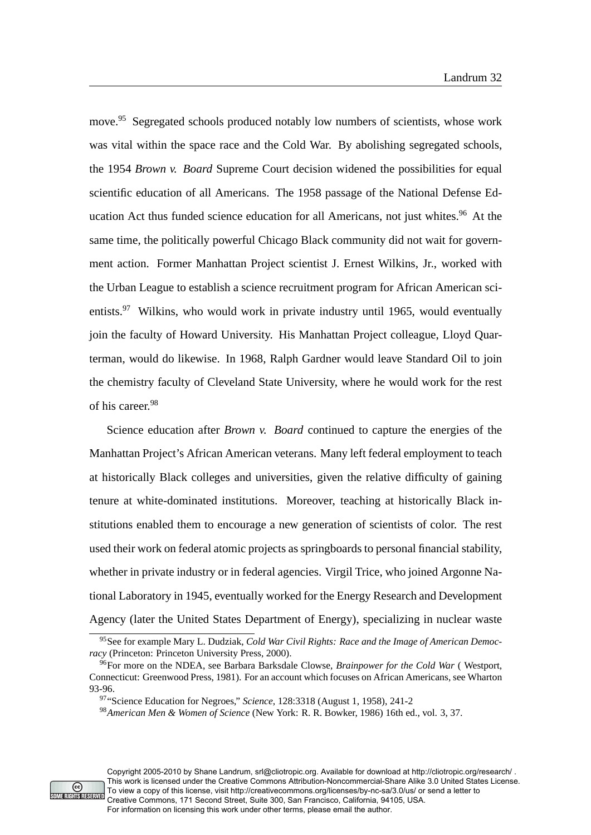move.<sup>95</sup> Segregated schools produced notably low numbers of scientists, whose work was vital within the space race and the Cold War. By abolishing segregated schools, the 1954 *Brown v. Board* Supreme Court decision widened the possibilities for equal scientific education of all Americans. The 1958 passage of the National Defense Education Act thus funded science education for all Americans, not just whites.<sup>96</sup> At the same time, the politically powerful Chicago Black community did not wait for government action. Former Manhattan Project scientist J. Ernest Wilkins, Jr., worked with the Urban League to establish a science recruitment program for African American scientists.<sup>97</sup> Wilkins, who would work in private industry until 1965, would eventually join the faculty of Howard University. His Manhattan Project colleague, Lloyd Quarterman, would do likewise. In 1968, Ralph Gardner would leave Standard Oil to join the chemistry faculty of Cleveland State University, where he would work for the rest of his career.<sup>98</sup>

Science education after *Brown v. Board* continued to capture the energies of the Manhattan Project's African American veterans. Many left federal employment to teach at historically Black colleges and universities, given the relative difficulty of gaining tenure at white-dominated institutions. Moreover, teaching at historically Black institutions enabled them to encourage a new generation of scientists of color. The rest used their work on federal atomic projects as springboards to personal financial stability, whether in private industry or in federal agencies. Virgil Trice, who joined Argonne National Laboratory in 1945, eventually worked for the Energy Research and Development Agency (later the United States Department of Energy), specializing in nuclear waste



<sup>95</sup>See for example Mary L. Dudziak, *Cold War Civil Rights: Race and the Image of American Democracy* (Princeton: Princeton University Press, 2000).

<sup>96</sup>For more on the NDEA, see Barbara Barksdale Clowse, *Brainpower for the Cold War* ( Westport, Connecticut: Greenwood Press, 1981). For an account which focuses on African Americans, see Wharton 93-96.

<sup>97</sup>"Science Education for Negroes," *Science*, 128:3318 (August 1, 1958), 241-2

<sup>98</sup>*American Men & Women of Science* (New York: R. R. Bowker, 1986) 16th ed., vol. 3, 37.